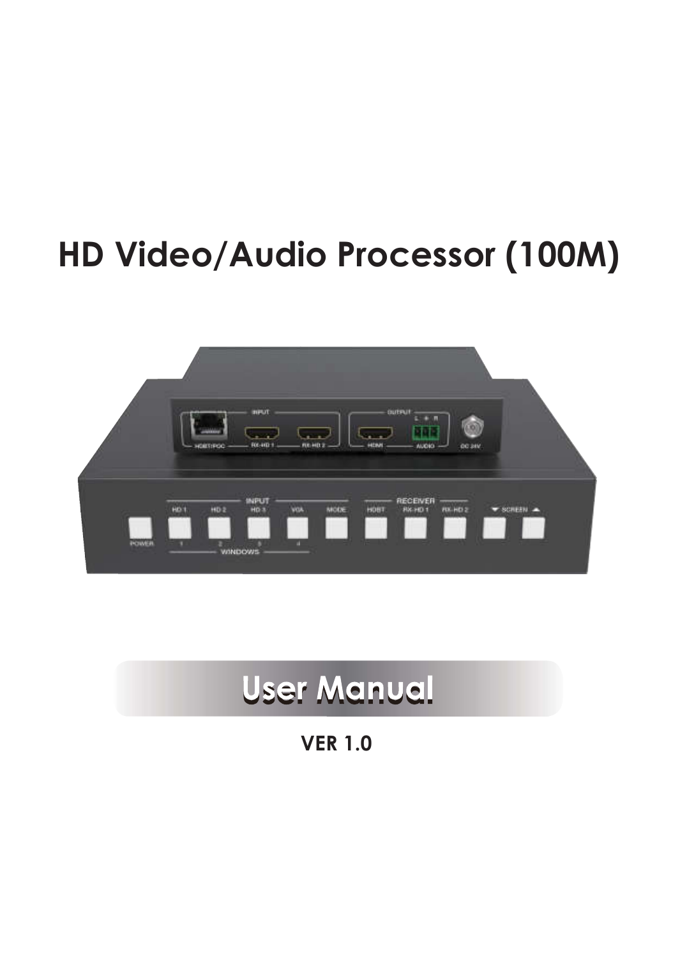# HD Video/Audio Processor (100M)



# **User Manual**

VER 1.0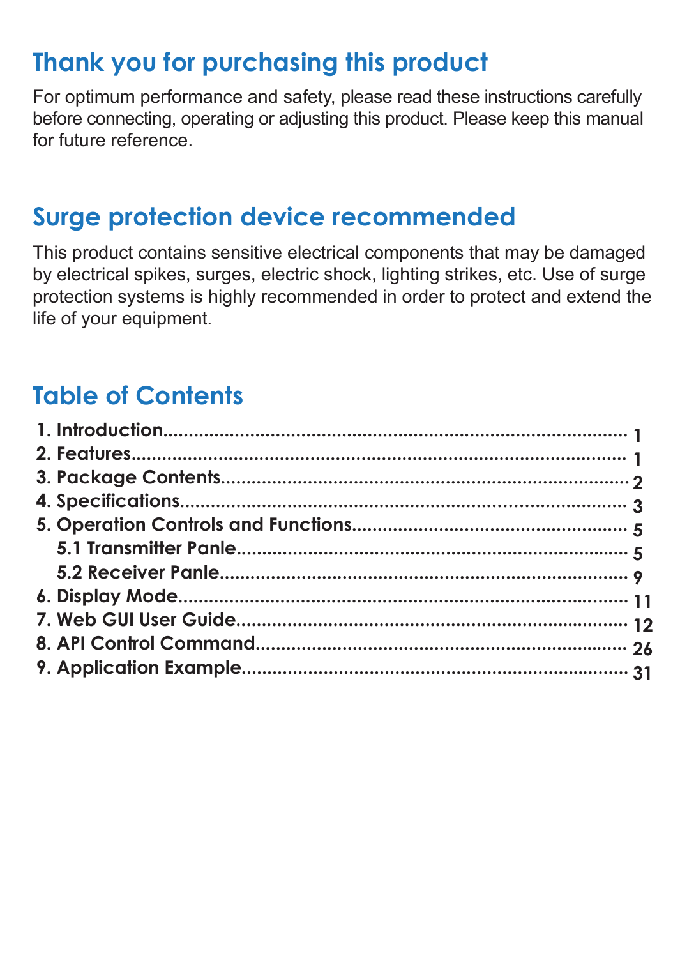### Thank you for purchasing this product

For optimum performance and safety, please read these instructions carefully before connecting, operating or adjusting this product. Please keep this manual for future reference.

### Surge protection device recommended

This product contains sensitive electrical components that may be damaged by electrical spikes, surges, electric shock, lighting strikes, etc. Use of surge protection systems is highly recommended in order to protect and extend the life of your equipment.

### Table of Contents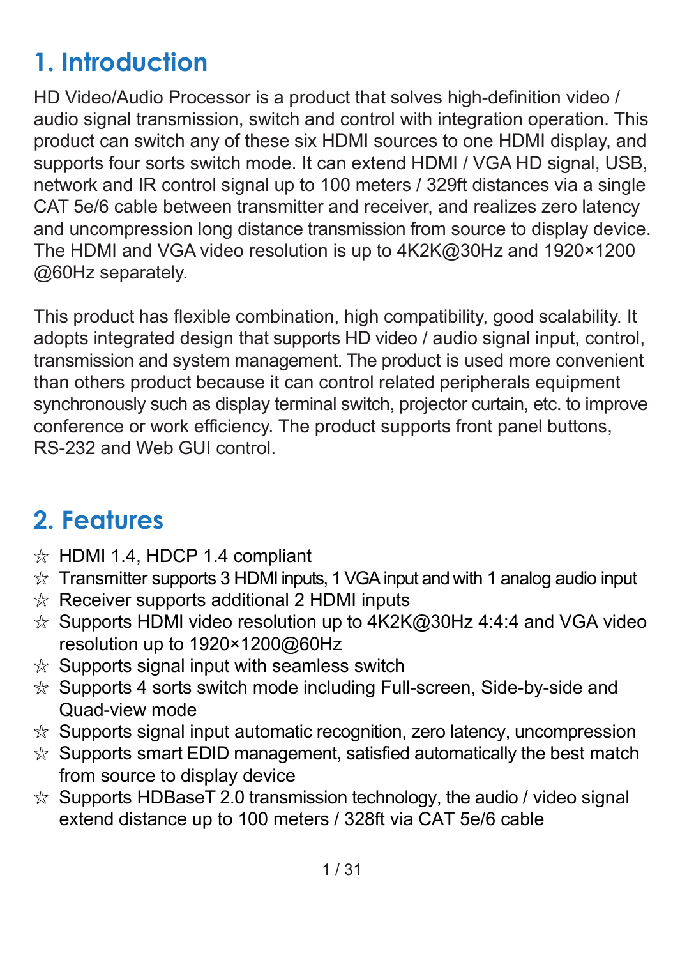## 1. Introduction

HD Video/Audio Processor is a product that solves high-definition video / audio signal transmission, switch and control with integration operation. This product can switch any of these six HDMI sources to one HDMI display, and supports four sorts switch mode. It can extend HDMI / VGA HD signal, USB, network and IR control signal up to 100 meters / 329ft distances via a single CAT 5e/6 cable between transmitter and receiver, and realizes zero latency and uncompression long distance transmission from source to display device. The HDMI and VGA video resolution is up to 4K2K@30Hz and 1920×1200 @60Hz separately.

This product has flexible combination, high compatibility, good scalability. It adopts integrated design that supports HD video / audio signal input, control, transmission and system management. The product is used more convenient than others product because it can control related peripherals equipment synchronously such as display terminal switch, projector curtain, etc. to improve conference or work efficiency. The product supports front panel buttons, RS-232 and Web GUI control.

### 2. Features

- $\frac{1}{2}$  HDMI 1.4, HDCP 1.4 compliant
- $\frac{1}{2}$  Transmitter supports 3 HDMI inputs, 1 VGA input and with 1 analog audio input
- $*$  Receiver supports additional 2 HDMI inputs
- $\frac{1}{x}$  Supports HDMI video resolution up to 4K2K@30Hz 4:4:4 and VGA video resolution up to 1920×1200@60Hz
- $*$  Supports signal input with seamless switch
- $\%$  Supports 4 sorts switch mode including Full-screen, Side-by-side and Quad-view mode
- $*$  Supports signal input automatic recognition, zero latency, uncompression
- $\%$  Supports smart EDID management, satisfied automatically the best match from source to display device
- $\%$  Supports HDBaseT 2.0 transmission technology, the audio / video signal extend distance up to 100 meters / 328ft via CAT 5e/6 cable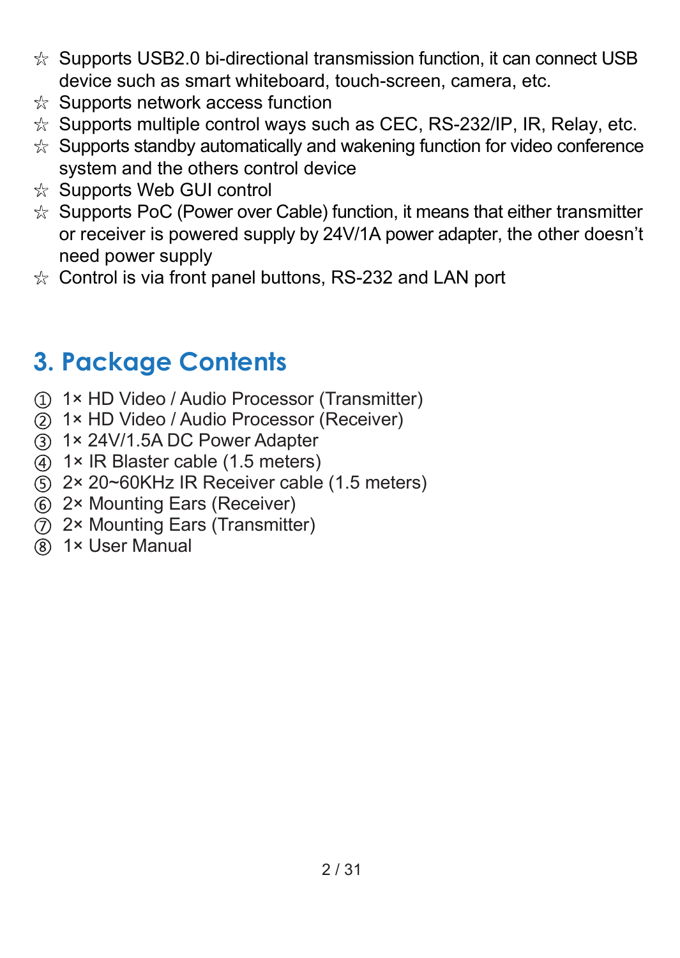- $\%$  Supports USB2.0 bi-directional transmission function, it can connect USB device such as smart whiteboard, touch-screen, camera, etc.
- $*$  Supports network access function
- $\%$  Supports multiple control ways such as CEC, RS-232/IP, IR, Relay, etc.
- $\%$  Supports standby automatically and wakening function for video conference system and the others control device
- ☆ Supports Web GUI control
- $\mathcal{R}$  Supports PoC (Power over Cable) function, it means that either transmitter or receiver is powered supply by 24V/1A power adapter, the other doesn't need power supply
- $\&$  Control is via front panel buttons, RS-232 and LAN port

### 3. Package Contents

- 1× HD Video / Audio Processor (Transmitter)
- 1× HD Video / Audio Processor (Receiver)
- 1× 24V/1.5A DC Power Adapter
- 1× IR Blaster cable (1.5 meters)
- 2× 20~60KHz IR Receiver cable (1.5 meters)
- 2× Mounting Ears (Receiver)
- $(7)$  2× Mounting Ears (Transmitter)
- 1× User Manual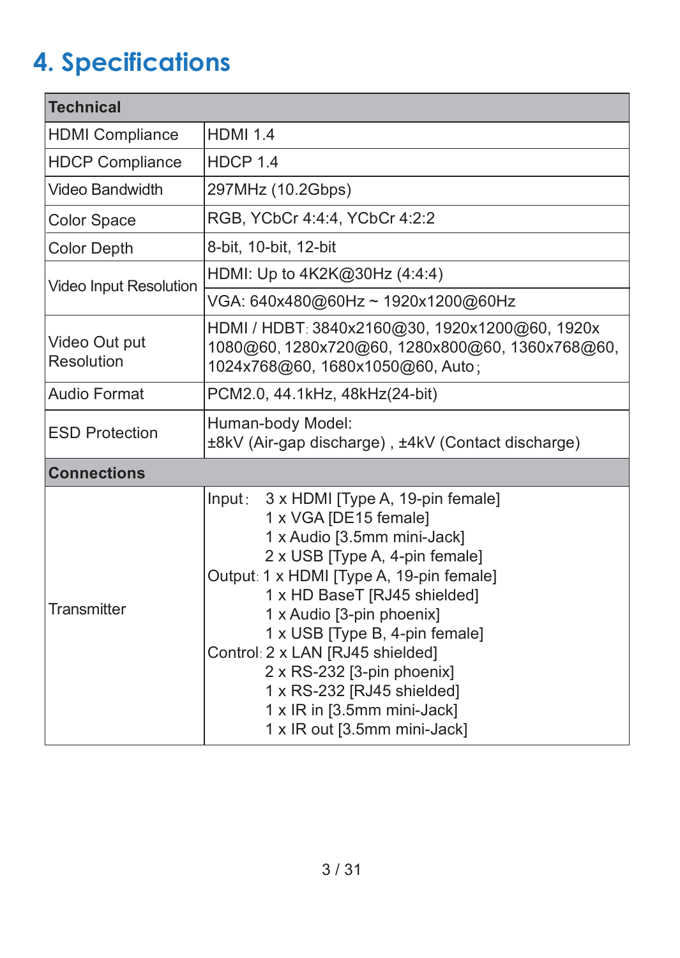# 4. Specifications

| Technical                   |                                                                                                                                                                                                                                                                                                                                                                                                                                                |
|-----------------------------|------------------------------------------------------------------------------------------------------------------------------------------------------------------------------------------------------------------------------------------------------------------------------------------------------------------------------------------------------------------------------------------------------------------------------------------------|
| <b>HDMI Compliance</b>      | <b>HDMI 1.4</b>                                                                                                                                                                                                                                                                                                                                                                                                                                |
| <b>HDCP Compliance</b>      | HDCP 1.4                                                                                                                                                                                                                                                                                                                                                                                                                                       |
| Video Bandwidth             | 297MHz (10.2Gbps)                                                                                                                                                                                                                                                                                                                                                                                                                              |
| Color Space                 | RGB, YCbCr 4:4:4, YCbCr 4:2:2                                                                                                                                                                                                                                                                                                                                                                                                                  |
| Color Depth                 | 8-bit, 10-bit, 12-bit                                                                                                                                                                                                                                                                                                                                                                                                                          |
| Video Input Resolution      | HDMI: Up to 4K2K@30Hz (4:4:4)                                                                                                                                                                                                                                                                                                                                                                                                                  |
|                             | VGA: 640x480@60Hz~1920x1200@60Hz                                                                                                                                                                                                                                                                                                                                                                                                               |
| Video Out put<br>Resolution | HDMI / HDBT: 3840x2160@30, 1920x1200@60, 1920x<br>1080@60,1280x720@60,1280x800@60,1360x768@60,<br>1024x768@60, 1680x1050@60, Auto;                                                                                                                                                                                                                                                                                                             |
| Audio Format                | PCM2.0, 44.1kHz, 48kHz(24-bit)                                                                                                                                                                                                                                                                                                                                                                                                                 |
| <b>ESD Protection</b>       | Human-body Model:<br>±8kV (Air-gap discharge), ±4kV (Contact discharge)                                                                                                                                                                                                                                                                                                                                                                        |
| <b>Connections</b>          |                                                                                                                                                                                                                                                                                                                                                                                                                                                |
| Transmitter                 | Input:<br>3 x HDMI [Type A, 19-pin female]<br>1 x VGA [DE15 female]<br>1 x Audio [3.5mm mini-Jack]<br>2 x USB [Type A, 4-pin female]<br>Output: 1 x HDMI [Type A, 19-pin female]<br>1 x HD BaseT [RJ45 shielded]<br>1 x Audio [3-pin phoenix]<br>1 x USB [Type B, 4-pin female]<br>Control: 2 x LAN [RJ45 shielded]<br>2 x RS-232 [3-pin phoenix]<br>1 x RS-232 [RJ45 shielded]<br>1 x IR in [3.5mm mini-Jack]<br>1 x IR out [3.5mm mini-Jack] |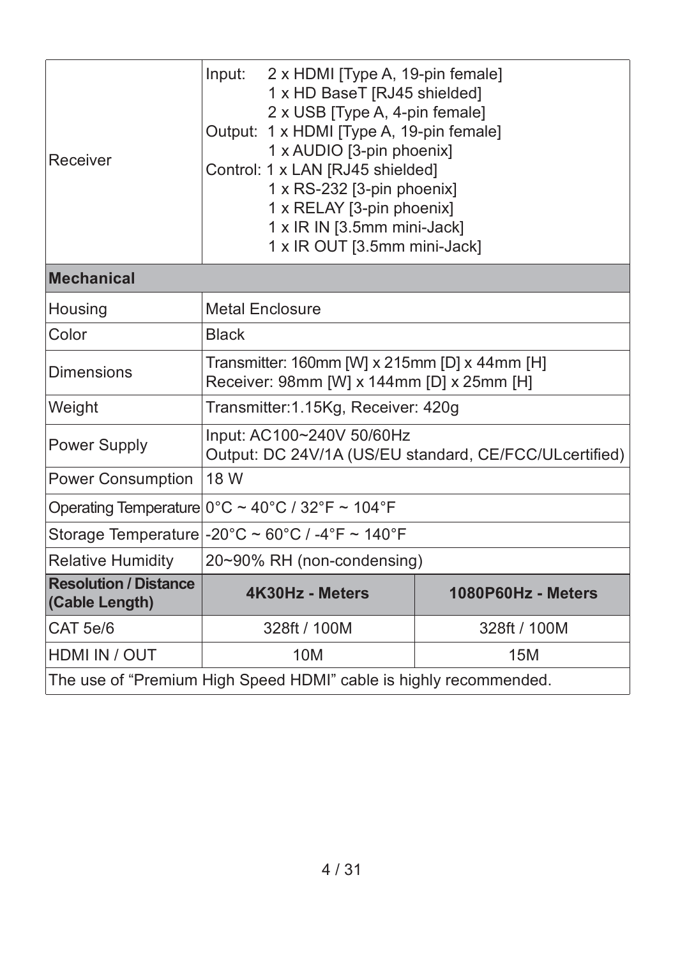| Receiver                                                          | Input:       | 2 x HDMI [Type A, 19-pin female]<br>1 x HD BaseT [RJ45 shielded]<br>2 x USB [Type A, 4-pin female]<br>Output: 1 x HDMI [Type A, 19-pin female]<br>1 x AUDIO [3-pin phoenix]<br>Control: 1 x LAN [RJ45 shielded]<br>1 x RS-232 [3-pin phoenix]<br>1 x RELAY [3-pin phoenix]<br>1 x IR IN [3.5mm mini-Jack]<br>1 x IR OUT [3.5mm mini-Jack] |                                                        |
|-------------------------------------------------------------------|--------------|-------------------------------------------------------------------------------------------------------------------------------------------------------------------------------------------------------------------------------------------------------------------------------------------------------------------------------------------|--------------------------------------------------------|
| <b>Mechanical</b>                                                 |              |                                                                                                                                                                                                                                                                                                                                           |                                                        |
| Housing                                                           |              | <b>Metal Enclosure</b>                                                                                                                                                                                                                                                                                                                    |                                                        |
| Color                                                             | <b>Black</b> |                                                                                                                                                                                                                                                                                                                                           |                                                        |
| Dimensions                                                        |              | Transmitter: 160mm [W] x 215mm [D] x 44mm [H]<br>Receiver: 98mm [W] x 144mm [D] x 25mm [H]                                                                                                                                                                                                                                                |                                                        |
| Weight                                                            |              | Transmitter:1.15Kg, Receiver: 420g                                                                                                                                                                                                                                                                                                        |                                                        |
| Power Supply                                                      |              | Input: AC100~240V 50/60Hz                                                                                                                                                                                                                                                                                                                 | Output: DC 24V/1A (US/EU standard, CE/FCC/ULcertified) |
| Power Consumption                                                 | 18 W         |                                                                                                                                                                                                                                                                                                                                           |                                                        |
| Operating Temperature 0°C ~ 40°C / 32°F ~ 104°F                   |              |                                                                                                                                                                                                                                                                                                                                           |                                                        |
| Storage Temperature $-20^{\circ}$ C ~ 60°C / -4°F ~ 140°F         |              |                                                                                                                                                                                                                                                                                                                                           |                                                        |
| <b>Relative Humidity</b>                                          |              | 20~90% RH (non-condensing)                                                                                                                                                                                                                                                                                                                |                                                        |
| <b>Resolution / Distance</b><br>(Cable Length)                    |              | 4K30Hz - Meters                                                                                                                                                                                                                                                                                                                           | 1080P60Hz - Meters                                     |
| CAT 5e/6                                                          |              | 328ft / 100M                                                                                                                                                                                                                                                                                                                              | 328ft / 100M                                           |
| HDMI IN / OUT                                                     |              | 10M                                                                                                                                                                                                                                                                                                                                       | 15M                                                    |
| The use of "Premium High Speed HDMI" cable is highly recommended. |              |                                                                                                                                                                                                                                                                                                                                           |                                                        |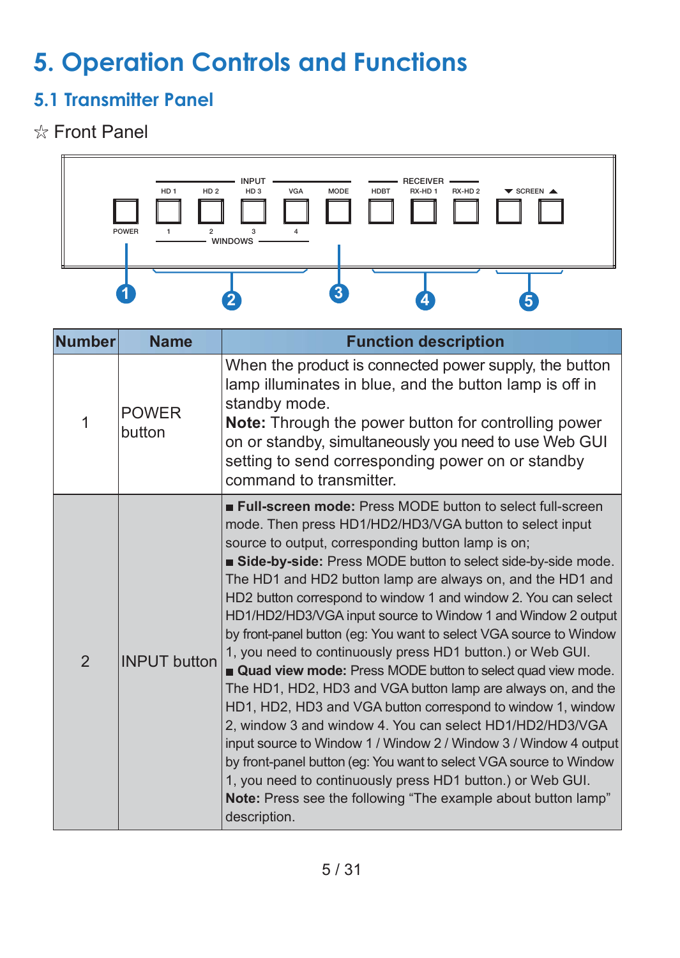# 5. Operation Controls and Functions

### 5.1 Transmitter Panel

### $*$  Front Panel



| <b>Number</b>  | <b>Name</b>            | <b>Function description</b>                                                                                                                                                                                                                                                                                                                                                                                                                                                                                                                                                                                                                                                                                                                                                                                                                                                                                                                                                                                                                                                                                                              |
|----------------|------------------------|------------------------------------------------------------------------------------------------------------------------------------------------------------------------------------------------------------------------------------------------------------------------------------------------------------------------------------------------------------------------------------------------------------------------------------------------------------------------------------------------------------------------------------------------------------------------------------------------------------------------------------------------------------------------------------------------------------------------------------------------------------------------------------------------------------------------------------------------------------------------------------------------------------------------------------------------------------------------------------------------------------------------------------------------------------------------------------------------------------------------------------------|
| 1              | <b>POWER</b><br>button | When the product is connected power supply, the button<br>lamp illuminates in blue, and the button lamp is off in<br>standby mode.<br><b>Note:</b> Through the power button for controlling power<br>on or standby, simultaneously you need to use Web GUI<br>setting to send corresponding power on or standby<br>command to transmitter.                                                                                                                                                                                                                                                                                                                                                                                                                                                                                                                                                                                                                                                                                                                                                                                               |
| $\overline{2}$ | <b>INPUT</b> button    | <b>Euli-screen mode:</b> Press MODE button to select full-screen<br>mode. Then press HD1/HD2/HD3/VGA button to select input<br>source to output, corresponding button lamp is on;<br>Side-by-side: Press MODE button to select side-by-side mode.<br>The HD1 and HD2 button lamp are always on, and the HD1 and<br>HD2 button correspond to window 1 and window 2. You can select<br>HD1/HD2/HD3/VGA input source to Window 1 and Window 2 output<br>by front-panel button (eg: You want to select VGA source to Window<br>1, you need to continuously press HD1 button.) or Web GUI.<br>Quad view mode: Press MODE button to select quad view mode.<br>The HD1, HD2, HD3 and VGA button lamp are always on, and the<br>HD1, HD2, HD3 and VGA button correspond to window 1, window<br>2, window 3 and window 4. You can select HD1/HD2/HD3/VGA<br>input source to Window 1 / Window 2 / Window 3 / Window 4 output<br>by front-panel button (eq: You want to select VGA source to Window<br>1, you need to continuously press HD1 button.) or Web GUI.<br>Note: Press see the following "The example about button lamp"<br>description. |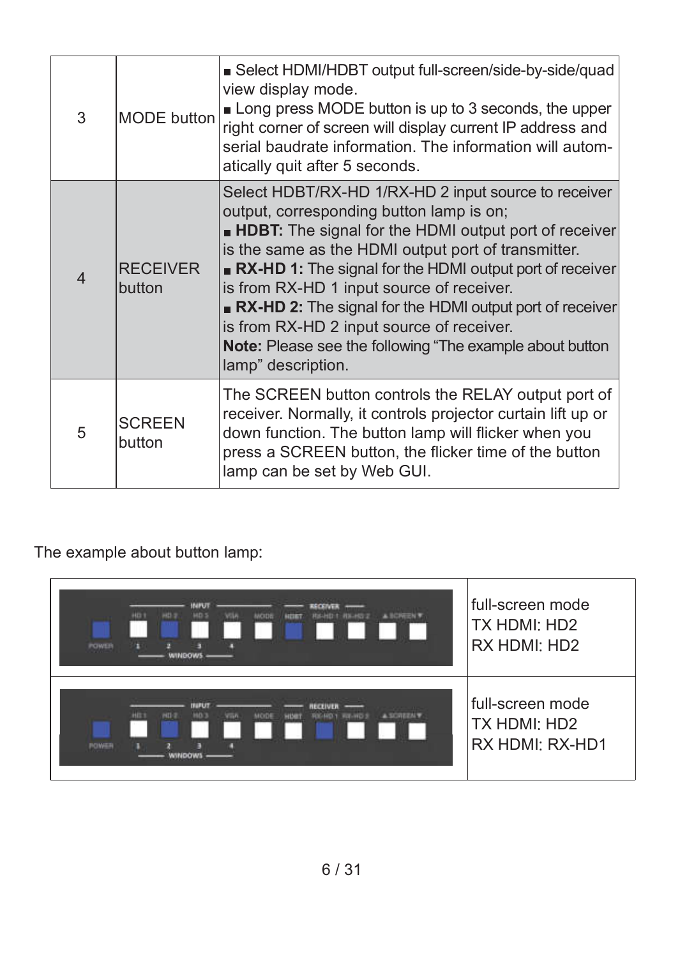| 3 | <b>MODE</b> button        | Select HDMI/HDBT output full-screen/side-by-side/quad<br>view display mode.<br>Long press MODE button is up to 3 seconds, the upper<br>right corner of screen will display current IP address and<br>serial baudrate information. The information will autom-<br>atically quit after 5 seconds.                                                                                                                                                                                                                                           |
|---|---------------------------|-------------------------------------------------------------------------------------------------------------------------------------------------------------------------------------------------------------------------------------------------------------------------------------------------------------------------------------------------------------------------------------------------------------------------------------------------------------------------------------------------------------------------------------------|
| 4 | <b>RECEIVER</b><br>button | Select HDBT/RX-HD 1/RX-HD 2 input source to receiver<br>output, corresponding button lamp is on;<br><b>HDBT:</b> The signal for the HDMI output port of receiver<br>is the same as the HDMI output port of transmitter.<br><b>RX-HD 1:</b> The signal for the HDMI output port of receiver<br>is from RX-HD 1 input source of receiver.<br><b>RX-HD 2:</b> The signal for the HDMI output port of receiver<br>is from RX-HD 2 input source of receiver.<br>Note: Please see the following "The example about button<br>lamp" description. |
| 5 | <b>SCREEN</b><br>button   | The SCREEN button controls the RELAY output port of<br>receiver. Normally, it controls projector curtain lift up or<br>down function. The button lamp will flicker when you<br>press a SCREEN button, the flicker time of the button<br>lamp can be set by Web GUI.                                                                                                                                                                                                                                                                       |

The example about button lamp:

| <b>POWER</b><br><b>WINDOWS</b>                                                         | MODE<br>A <b>ICREEN</b><br><b>ASSESS</b><br>はん川口で         | full-screen mode<br>TX HDMI: HD2<br>RX HDMI: HD2    |
|----------------------------------------------------------------------------------------|-----------------------------------------------------------|-----------------------------------------------------|
| HI <sub>1</sub><br><b>ND</b> <sub>2</sub><br><b>MOT</b><br><b>STER</b><br><b>POWER</b> | <b>ASCREZAY</b><br>MODE<br><b>HIMIT</b><br>REARD 1 REARDS | full-screen mode<br>TX HDMI: HD2<br>RX HDMI; RX-HD1 |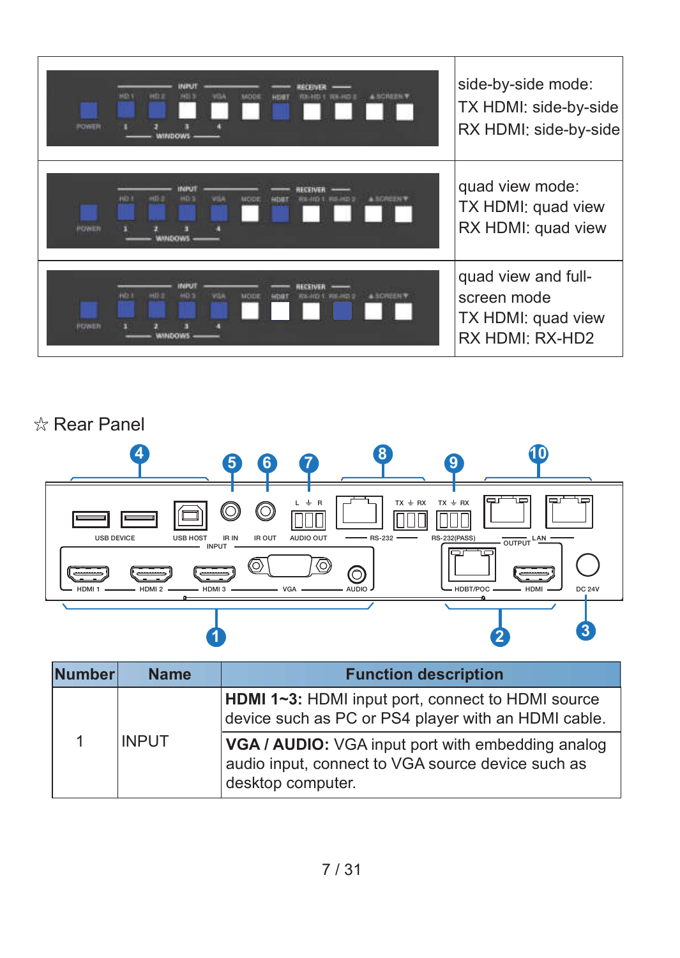| HD <sub>3</sub><br><b>MENT</b><br>MODE<br>A SCREEN'S<br>VOA<br><b>HISRT</b><br>POWER<br>WINDOW                                                                       | side-by-side mode:<br>TX HDMI: side-by-side<br>RX HDMI: side-by-side        |
|----------------------------------------------------------------------------------------------------------------------------------------------------------------------|-----------------------------------------------------------------------------|
| HD 3<br>1425.2<br>MD <sub>3</sub><br><b>ATLA</b><br><b>A ROWFIND</b><br><b>METTI</b><br><b>ATVES</b><br><b>POWER</b><br><b>ANNDOWN</b>                               | quad view mode:<br>TX HDMI: quad view<br>RX HDMI; quad view                 |
| HD <sub>1</sub><br>$+15.2$<br>MD <sub>3</sub><br>m<br><b>A ROWFERN</b><br><b>MODE</b><br>2012-012-1<br>una:<br><b>COLORED</b><br><b>POWER</b><br><b><i>MNDOW</i></b> | quad view and full-<br>screen mode<br>TX HDMI: quad view<br>RX HDMI: RX-HD2 |

#### $\hat{\mathbb{R}}$  Rear Panel



| <b>Number</b> | <b>Name</b>  | <b>Function description</b>                                                                                                        |
|---------------|--------------|------------------------------------------------------------------------------------------------------------------------------------|
|               |              | HDMI 1~3: HDMI input port, connect to HDMI source<br>device such as PC or PS4 player with an HDMI cable.                           |
|               | <b>INPUT</b> | <b>VGA / AUDIO:</b> VGA input port with embedding analog<br>audio input, connect to VGA source device such as<br>desktop computer. |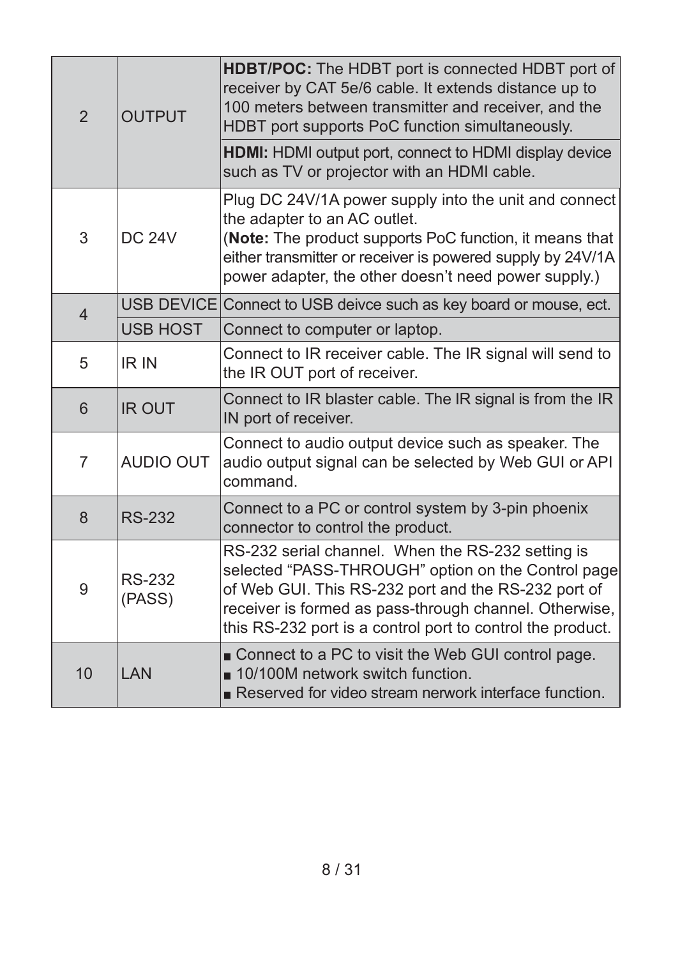| $\overline{2}$ | <b>OUTPUT</b>           | HDBT/POC: The HDBT port is connected HDBT port of<br>receiver by CAT 5e/6 cable. It extends distance up to<br>100 meters between transmitter and receiver, and the<br>HDBT port supports PoC function simultaneously.                                                                  |
|----------------|-------------------------|----------------------------------------------------------------------------------------------------------------------------------------------------------------------------------------------------------------------------------------------------------------------------------------|
|                |                         | <b>HDMI:</b> HDMI output port, connect to HDMI display device<br>such as TV or projector with an HDMI cable.                                                                                                                                                                           |
| 3              | <b>DC 24V</b>           | Plug DC 24V/1A power supply into the unit and connect<br>the adapter to an AC outlet.<br>(Note: The product supports PoC function, it means that<br>either transmitter or receiver is powered supply by 24V/1A<br>power adapter, the other doesn't need power supply.)                 |
| $\overline{4}$ |                         | USB DEVICE Connect to USB deivce such as key board or mouse, ect.                                                                                                                                                                                                                      |
|                | <b>USB HOST</b>         | Connect to computer or laptop.                                                                                                                                                                                                                                                         |
| 5              | IR IN                   | Connect to IR receiver cable. The IR signal will send to<br>the IR OUT port of receiver.                                                                                                                                                                                               |
| 6              | <b>IR OUT</b>           | Connect to IR blaster cable. The IR signal is from the IR<br>IN port of receiver.                                                                                                                                                                                                      |
| $\overline{7}$ | AUDIO OUT               | Connect to audio output device such as speaker. The<br>audio output signal can be selected by Web GUI or API<br>command.                                                                                                                                                               |
| 8              | <b>RS-232</b>           | Connect to a PC or control system by 3-pin phoenix<br>connector to control the product.                                                                                                                                                                                                |
| 9              | <b>RS-232</b><br>(PASS) | RS-232 serial channel. When the RS-232 setting is<br>selected "PASS-THROUGH" option on the Control page<br>of Web GUI. This RS-232 port and the RS-232 port of<br>receiver is formed as pass-through channel. Otherwise,<br>this RS-232 port is a control port to control the product. |
| 10             | <b>I AN</b>             | ■ Connect to a PC to visit the Web GUI control page.<br>■ 10/100M network switch function.<br>Reserved for video stream nerwork interface function.                                                                                                                                    |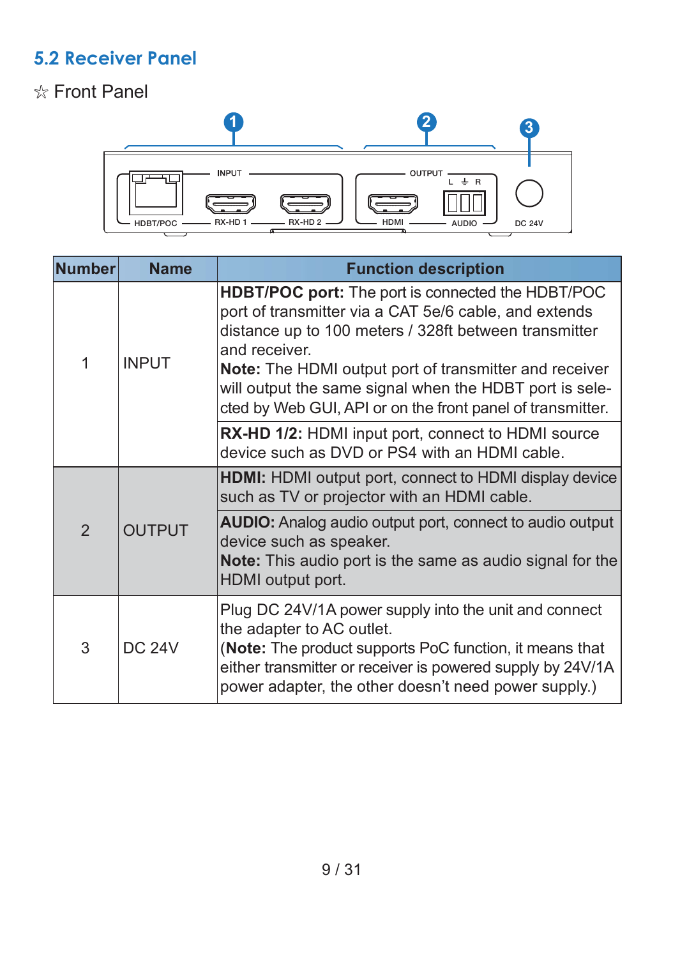### 5.2 Receiver Panel

### $*$  Front Panel



| Number         | <b>Name</b>   | <b>Function description</b>                                                                                                                                                                                                                                                                                                                                                           |
|----------------|---------------|---------------------------------------------------------------------------------------------------------------------------------------------------------------------------------------------------------------------------------------------------------------------------------------------------------------------------------------------------------------------------------------|
| 1              | <b>INPUT</b>  | <b>HDBT/POC port:</b> The port is connected the HDBT/POC<br>port of transmitter via a CAT 5e/6 cable, and extends<br>distance up to 100 meters / 328ft between transmitter<br>and receiver.<br><b>Note:</b> The HDMI output port of transmitter and receiver<br>will output the same signal when the HDBT port is sele-<br>cted by Web GUI, API or on the front panel of transmitter. |
|                |               | <b>RX-HD 1/2:</b> HDMI input port, connect to HDMI source<br>device such as DVD or PS4 with an HDMI cable.                                                                                                                                                                                                                                                                            |
|                |               | HDMI: HDMI output port, connect to HDMI display device<br>such as TV or projector with an HDMI cable.                                                                                                                                                                                                                                                                                 |
| $\mathfrak{p}$ | <b>OUTPUT</b> | <b>AUDIO:</b> Analog audio output port, connect to audio output<br>device such as speaker.<br><b>Note:</b> This audio port is the same as audio signal for the<br>HDMI output port.                                                                                                                                                                                                   |
| 3              | <b>DC 24V</b> | Plug DC 24V/1A power supply into the unit and connect<br>the adapter to AC outlet.<br>(Note: The product supports PoC function, it means that<br>either transmitter or receiver is powered supply by 24V/1A<br>power adapter, the other doesn't need power supply.)                                                                                                                   |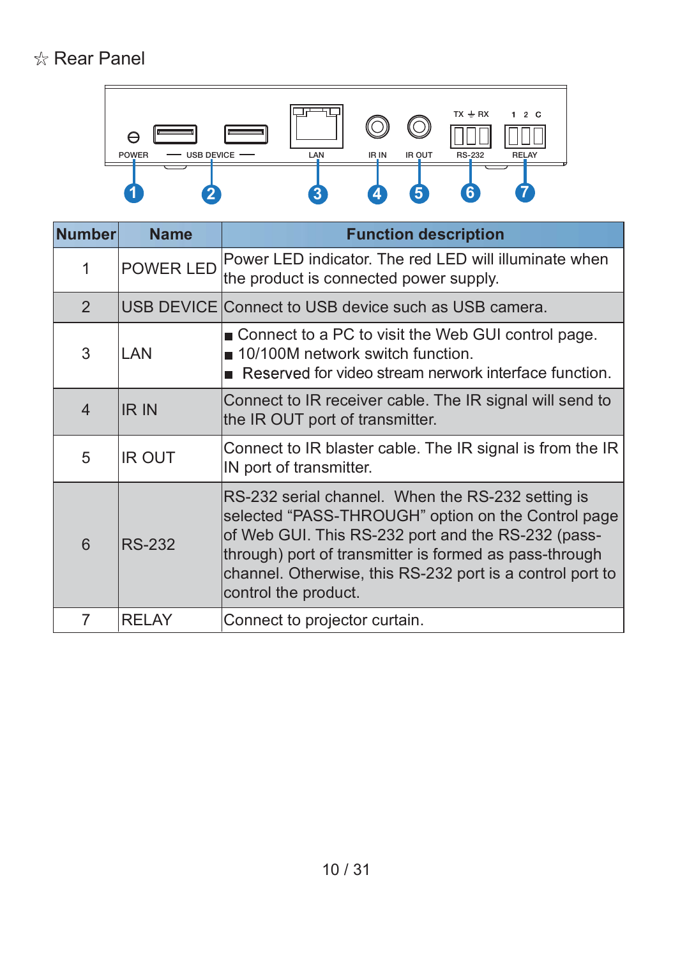### **<del>☆</del>** Rear Panel



| <b>Number</b>  | <b>Name</b>   | <b>Function description</b>                                                                                                                                                                                                                                                                                  |
|----------------|---------------|--------------------------------------------------------------------------------------------------------------------------------------------------------------------------------------------------------------------------------------------------------------------------------------------------------------|
| 1              | POWER LED     | Power LED indicator. The red LED will illuminate when<br>the product is connected power supply.                                                                                                                                                                                                              |
| $\mathfrak{D}$ |               | USB DEVICE Connect to USB device such as USB camera.                                                                                                                                                                                                                                                         |
| 3              | LAN           | Connect to a PC to visit the Web GUI control page.<br>■ 10/100M network switch function.<br>Reserved for video stream nerwork interface function.                                                                                                                                                            |
| $\overline{4}$ | IR IN         | Connect to IR receiver cable. The IR signal will send to<br>the IR OUT port of transmitter.                                                                                                                                                                                                                  |
| 5              | <b>IR OUT</b> | Connect to IR blaster cable. The IR signal is from the IR<br>IN port of transmitter.                                                                                                                                                                                                                         |
| 6              | <b>RS-232</b> | RS-232 serial channel. When the RS-232 setting is<br>selected "PASS-THROUGH" option on the Control page<br>of Web GUI. This RS-232 port and the RS-232 (pass-<br>through) port of transmitter is formed as pass-through<br>channel. Otherwise, this RS-232 port is a control port to<br>control the product. |
| 7              | <b>RELAY</b>  | Connect to projector curtain.                                                                                                                                                                                                                                                                                |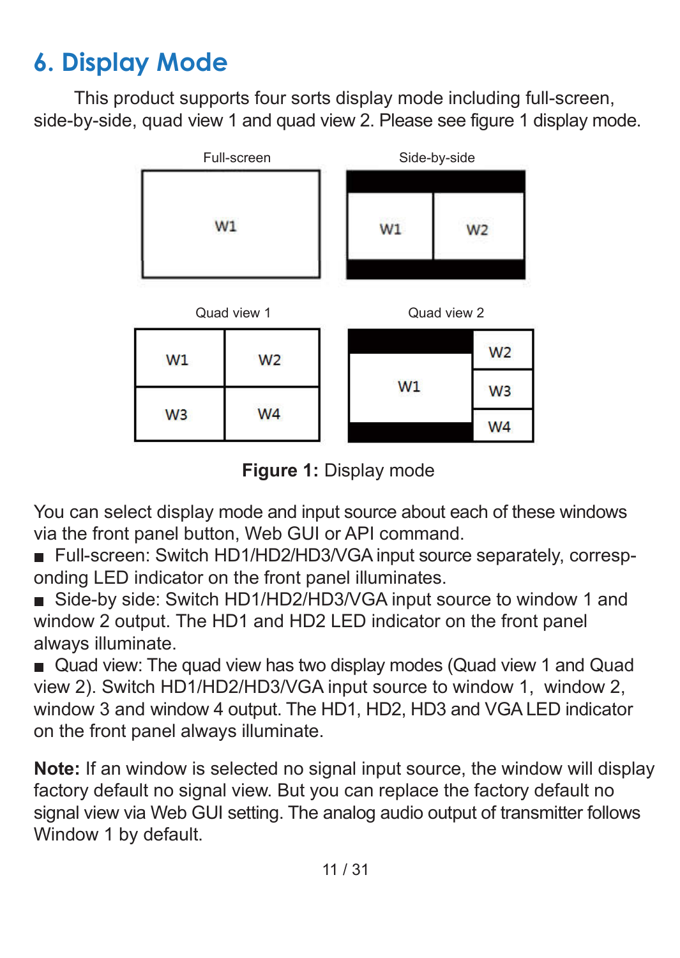## 6. Display Mode

 This product supports four sorts display mode including full-screen, side-by-side, quad view 1 and quad view 2. Please see figure 1 display mode.



Figure 1: Display mode

You can select display mode and input source about each of these windows via the front panel button, Web GUI or API command.

Full-screen: Switch HD1/HD2/HD3/VGA input source separately, corresponding LED indicator on the front panel illuminates.

■ Side-by side: Switch HD1/HD2/HD3/VGA input source to window 1 and window 2 output. The HD1 and HD2 LED indicator on the front panel always illuminate.

Quad view: The quad view has two display modes (Quad view 1 and Quad view 2). Switch HD1/HD2/HD3/VGA input source to window 1, window 2, window 3 and window 4 output. The HD1, HD2, HD3 and VGA LED indicator on the front panel always illuminate.

Note: If an window is selected no signal input source, the window will display factory default no signal view. But you can replace the factory default no signal view via Web GUI setting. The analog audio output of transmitter follows Window 1 by default.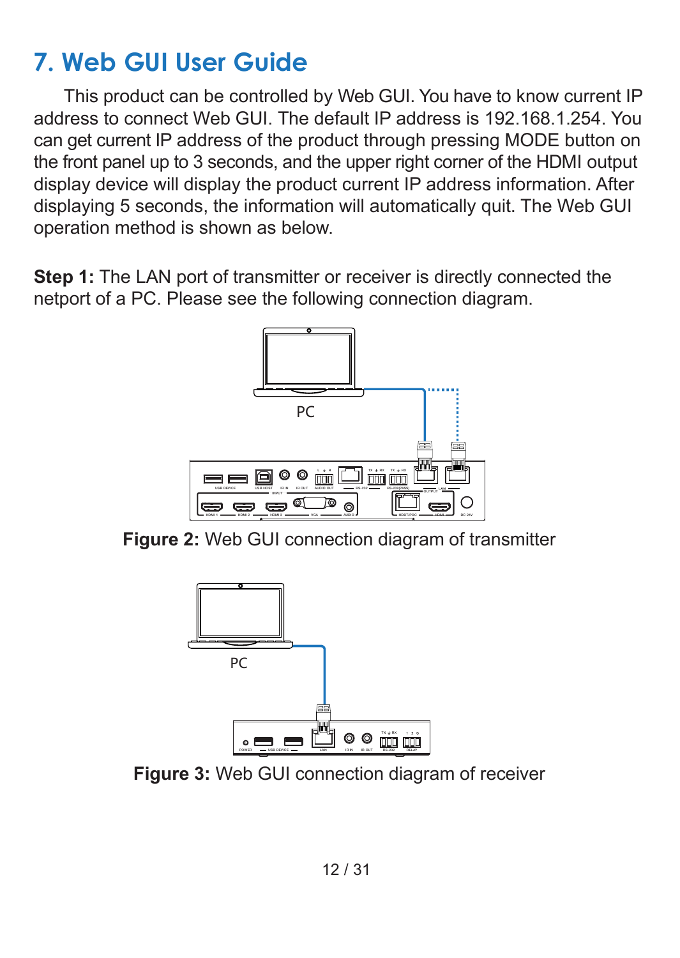### 7. Web GUI User Guide

 This product can be controlled by Web GUI. You have to know current IP address to connect Web GUI. The default IP address is 192.168.1.254. You can get current IP address of the product through pressing MODE button on the front panel up to 3 seconds, and the upper right corner of the HDMI output display device will display the product current IP address information. After displaying 5 seconds, the information will automatically quit. The Web GUI operation method is shown as below.

Step 1: The LAN port of transmitter or receiver is directly connected the netport of a PC. Please see the following connection diagram.



Figure 2: Web GUI connection diagram of transmitter



Figure 3: Web GUI connection diagram of receiver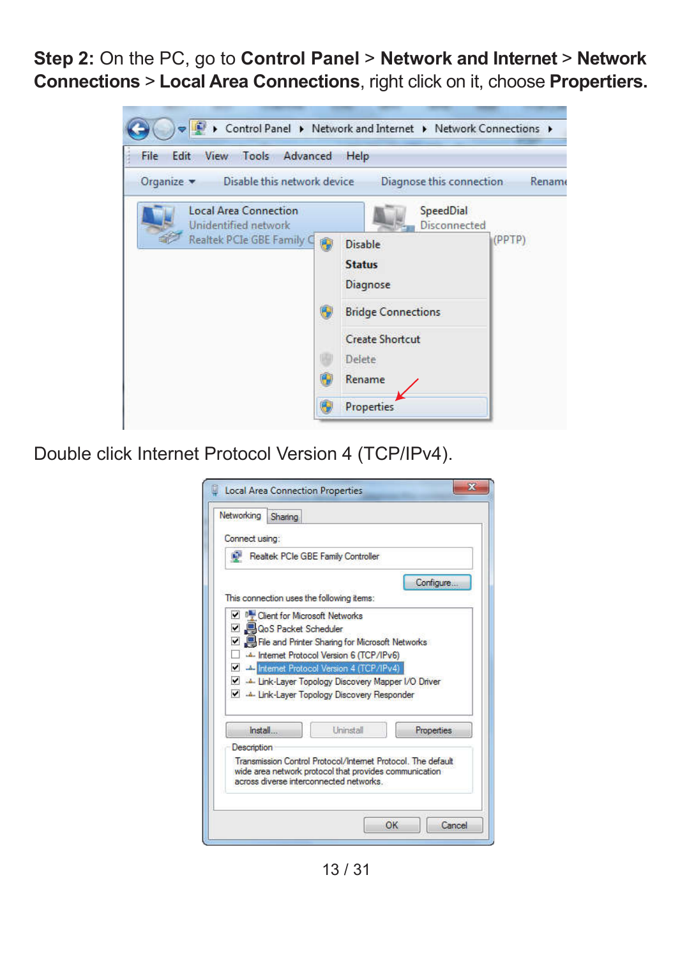Step 2: On the PC, go to Control Panel > Network and Internet > Network Connections > Local Area Connections, right click on it, choose Propertiers.



Double click Internet Protocol Version 4 (TCP/IPv4).

|                                       | Sharing                                                                                           |            |
|---------------------------------------|---------------------------------------------------------------------------------------------------|------------|
| Connect using:                        |                                                                                                   |            |
|                                       | Realtek PCIe GBE Family Controller                                                                |            |
|                                       |                                                                                                   | Configure  |
|                                       | This connection uses the following items:                                                         |            |
| <b>V</b> Dient for Microsoft Networks |                                                                                                   |            |
| <b>Oo S Packet Scheduler</b>          |                                                                                                   |            |
|                                       | File and Printer Sharing for Microsoft Networks                                                   |            |
|                                       | 4- Internet Protocol Version 6 (TCP/IPv6)                                                         |            |
|                                       | M 2- Internet Protocol Version 4 (TCP/IPv4)                                                       |            |
|                                       | LA Link-Layer Topology Discovery Mapper I/O Driver                                                |            |
|                                       | A Link-Laver Topology Discovery Responder                                                         |            |
|                                       |                                                                                                   |            |
|                                       | Uninstall                                                                                         | Properties |
| Install.                              |                                                                                                   |            |
| <b>Description</b>                    |                                                                                                   |            |
|                                       | Transmission Control Protocol/Internet Protocol. The default                                      |            |
|                                       | wide area network protocol that provides communication<br>across diverse interconnected networks. |            |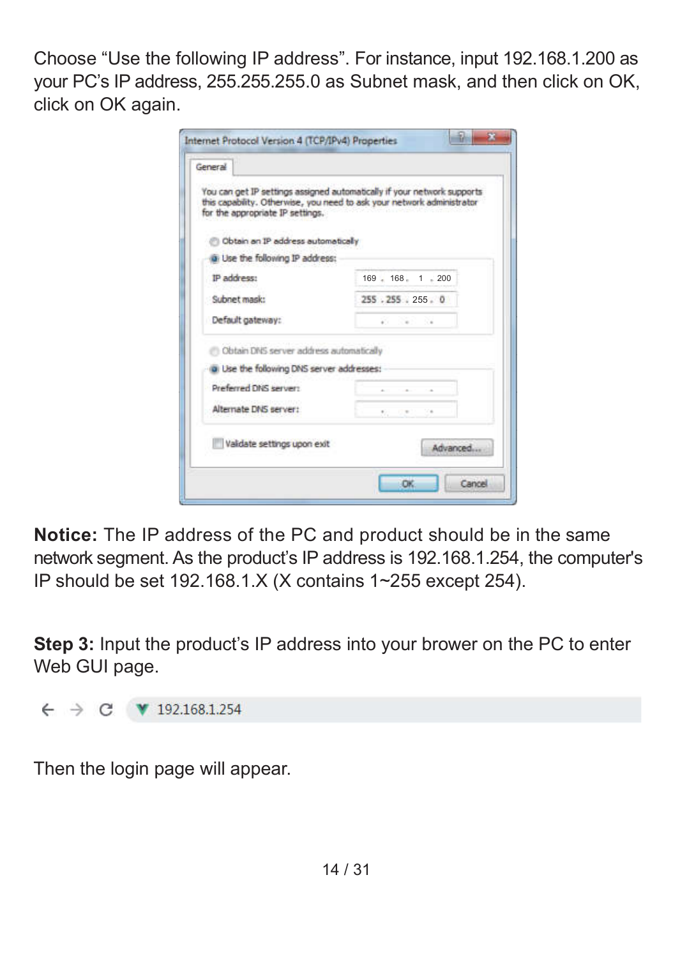Choose "Use the following IP address". For instance, input 192.168.1.200 as your PC's IP address, 255.255.255.0 as Subnet mask, and then click on OK, click on OK again.

| Gemenal                                   |                                                                                                                                                   |
|-------------------------------------------|---------------------------------------------------------------------------------------------------------------------------------------------------|
| for the appropriate IP settings.          | You can get IP settings assigned automatically if your network supports<br>this capability. Otherwise, you need to ask your network administrator |
| C Obtain an IP address automatically      |                                                                                                                                                   |
| ia Use the following IP address:          |                                                                                                                                                   |
| IP address:                               | 169 . 168 . 1 . 200                                                                                                                               |
| Subnet mask:                              | 255 . 255 . 255 . 0                                                                                                                               |
| Default gateway:                          | and the company                                                                                                                                   |
| Chitain DNS server address automatically  |                                                                                                                                                   |
| a Use the following DNS server addresses: |                                                                                                                                                   |
| Preferred DNS server:                     |                                                                                                                                                   |
| Alternate DNS server:                     | 74<br>$\sim$                                                                                                                                      |
| Validate settings upon exit               | Advanced                                                                                                                                          |

Notice: The IP address of the PC and product should be in the same network segment. As the product's IP address is 192.168.1.254, the computer's IP should be set 192.168.1.X (X contains 1~255 except 254).

Step 3: Input the product's IP address into your brower on the PC to enter Web GUI page.



Then the login page will appear.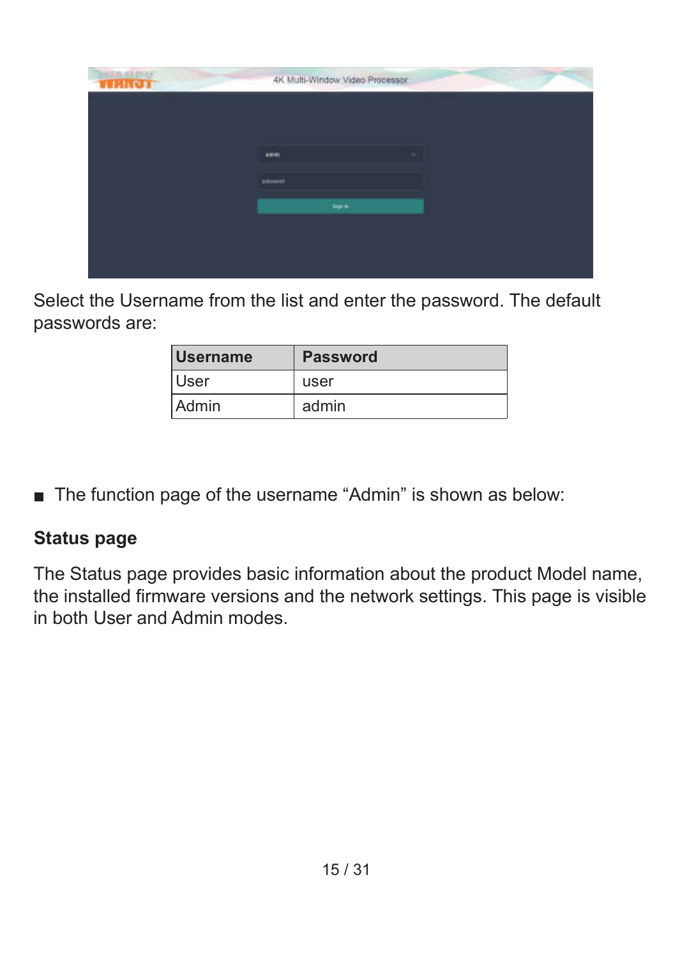| <b>TERROT</b> |                  | 4K Multi-Window Video Processor |        |
|---------------|------------------|---------------------------------|--------|
|               |                  |                                 |        |
|               | anno.            |                                 | $\sim$ |
|               | <b>Distances</b> |                                 |        |
|               |                  | <b>San A</b>                    |        |
|               |                  |                                 |        |
|               |                  |                                 |        |
|               |                  |                                 |        |

Select the Username from the list and enter the password. The default passwords are:

| Username | <b>Password</b> |
|----------|-----------------|
| User     | user            |
| Admin    | admin           |

■ The function page of the username "Admin" is shown as below:

#### Status page

The Status page provides basic information about the product Model name, the installed firmware versions and the network settings. This page is visible in both User and Admin modes.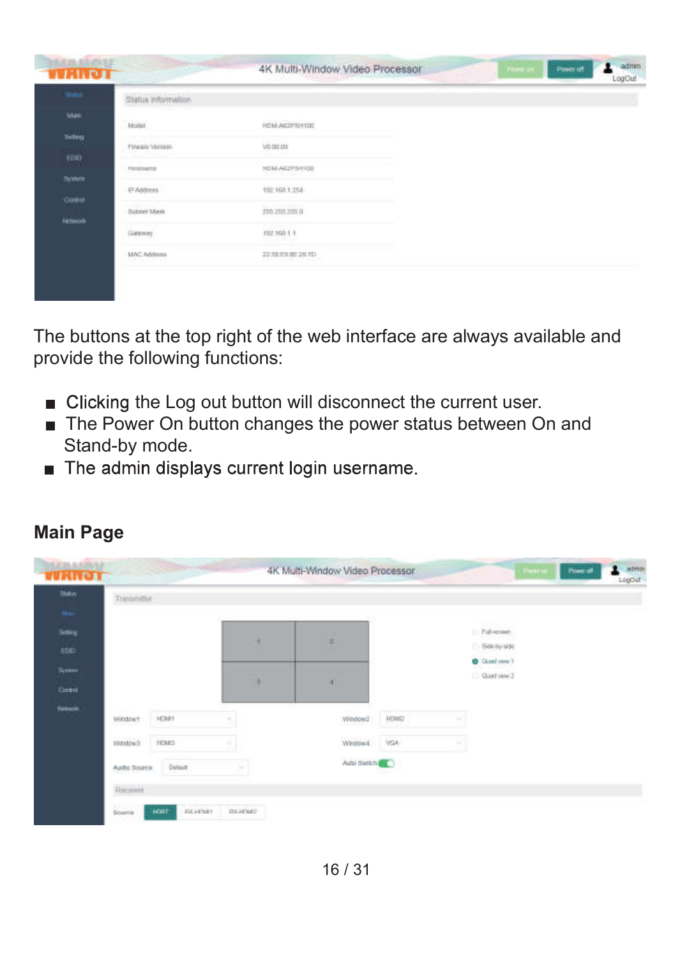| <b>TURNOT</b>                  |                                               | 4K Multi-Window Video Processor | Power off<br><b>Planet on</b><br>LogOut |
|--------------------------------|-----------------------------------------------|---------------------------------|-----------------------------------------|
| <b>TAX</b>                     | Status Information                            |                                 |                                         |
| <b>Man</b>                     | गामाण्या<br><b>Mobil</b>                      | HDM-AC2PSH100                   |                                         |
| Setting                        |                                               |                                 |                                         |
| <b>STEP</b><br>可知              | Private Vention                               | 1/5.00.00                       |                                         |
| <b>SALES</b><br><b>Tickbox</b> | <b>Handbarns</b><br>1977-00                   | MDM-AIL2FSH K00                 |                                         |
|                                | ET Address                                    | 102 162 1,252                   |                                         |
| Corpor                         | <b>Batter Ment</b>                            | ina zon zon in                  |                                         |
| فتسله                          | <b>Texturery</b>                              | 132,165.1.1                     |                                         |
|                                |                                               | <b>STORIES</b>                  |                                         |
|                                | MAC Address<br><b><i><u>CONSTRUCT</u></i></b> | 22:55:03:00:26.7D               |                                         |

The buttons at the top right of the web interface are always available and provide the following functions:

- **Example 2** Clicking the Log out button will disconnect the current user.
- The Power On button changes the power status between On and Stand-by mode.<br>■ The admin displays current login username.
- 

| Slotvi                    | Transmittel                     |   |                           |                               |                                                                      |  |
|---------------------------|---------------------------------|---|---------------------------|-------------------------------|----------------------------------------------------------------------|--|
| m.<br>Tetry<br><b>EDD</b> |                                 | ٠ | a,                        |                               | The County State<br>C. Publicism<br>See by MA<br><b>O</b> Gastrane T |  |
| Systems:<br>Control       |                                 | ٠ | ۰                         |                               | Gustvins 2                                                           |  |
| <b>Network</b>            | <b>HOMES</b><br>Window1<br>1000 |   | <b>Window2</b><br>-175999 | <b>Symphon</b><br><b>HDWG</b> |                                                                      |  |
|                           | Windows<br>rears                | ٠ | Written4                  | VGA                           |                                                                      |  |
|                           |                                 |   | Auto dialon               |                               |                                                                      |  |

#### Main Page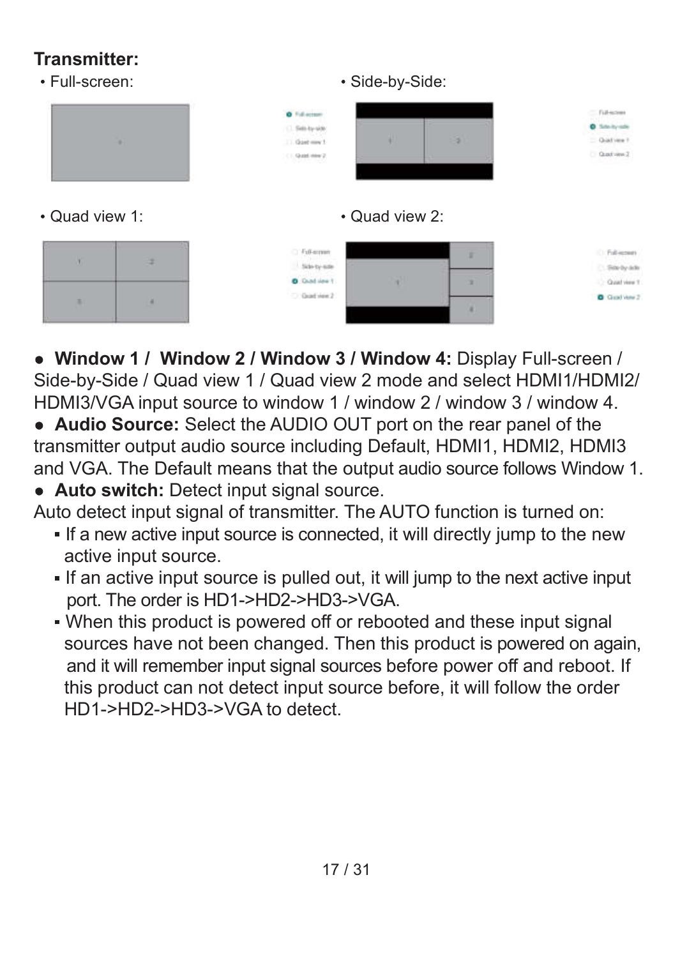### Transmitter:

- Full-screen: Side-by-Side: **William CONTRACTOR**  $0.588$  $(1.5a)$  by site  $1.644 \text{ cm}$  $=$  Quations  $\theta$ **CONTRACTOR**  $0$  Guatian  $2$  Quad view 1: Quad view 2: CONTRACTOR C. Full action w Sale by alle C. Stirliyada  $0$  Chat Hee 1 Chast view T CONTRACTOR **B** Guidance ٠ ı.
- Window 1 / Window 2 / Window 3 / Window 4: Display Full-screen / Side-by-Side / Quad view 1 / Quad view 2 mode and select HDMI1/HDMI2/ HDMI3/VGA input source to window 1 / window 2 / window 3 / window 4.
- Audio Source: Select the AUDIO OUT port on the rear panel of the transmitter output audio source including Default, HDMI1, HDMI2, HDMI3 and VGA. The Default means that the output audio source follows Window 1.
- Auto switch: Detect input signal source.
- Auto detect input signal of transmitter. The AUTO function is turned on:
	- If a new active input source is connected, it will directly jump to the new active input source.
	- If an active input source is pulled out, it will jump to the next active input port. The order is HD1->HD2->HD3->VGA.
	- When this product is powered off or rebooted and these input signal sources have not been changed. Then this product is powered on again, and it will remember input signal sources before power off and reboot. If this product can not detect input source before, it will follow the order HD1->HD2->HD3->VGA to detect.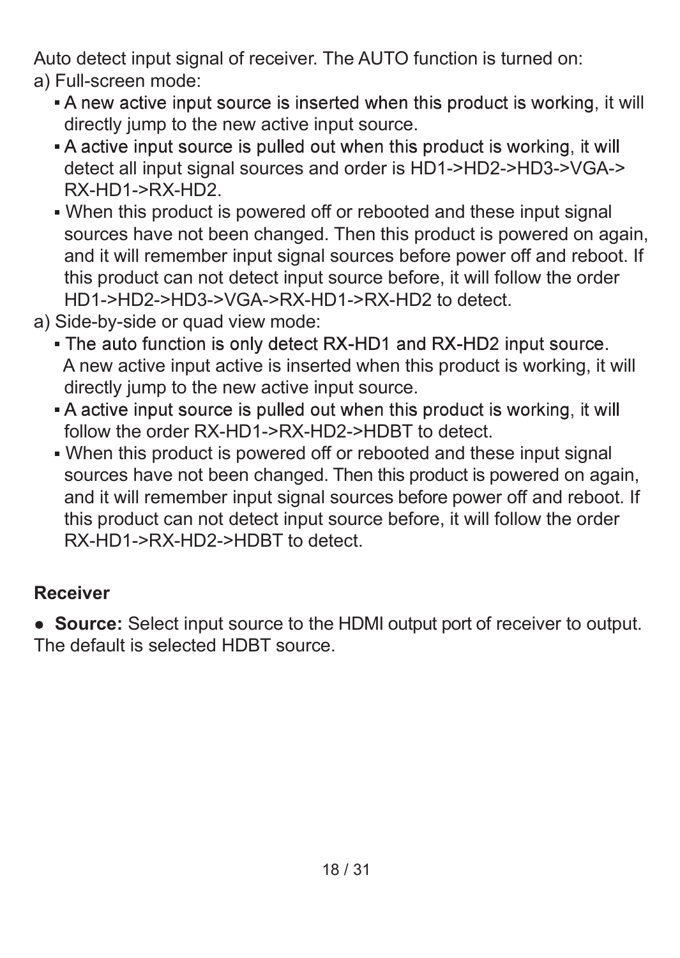Auto detect input signal of receiver. The AUTO function is turned on: a) Full-screen mode:

- A new active input source is inserted when this product is working, it will directly jump to the new active input source.<br>• A active input source is pulled out when this product is working, it will
- detect all input signal sources and order is HD1->HD2->HD3->VGA-> RX-HD1->RX-HD2.
- When this product is powered off or rebooted and these input signal sources have not been changed. Then this product is powered on again. and it will remember input signal sources before power off and reboot. If this product can not detect input source before, it will follow the order HD1->HD2->HD3->VGA->RX-HD1->RX-HD2 to detect.
- a) Side-by-side or quad view mode:
	- . The auto function is only detect RX-HD1 and RX-HD2 input source. A new active input active is inserted when this product is working, it will directly jump to the new active input source.
	- A active input source is pulled out when this product is working, it will follow the order RX-HD1->RX-HD2->HDBT to detect.
	- When this product is powered off or rebooted and these input signal sources have not been changed. Then this product is powered on again, and it will remember input signal sources before power off and reboot. If this product can not detect input source before, it will follow the order RX-HD1->RX-HD2->HDBT to detect.

#### Receiver

 Source: Select input source to the HDMI output port of receiver to output. The default is selected HDBT source.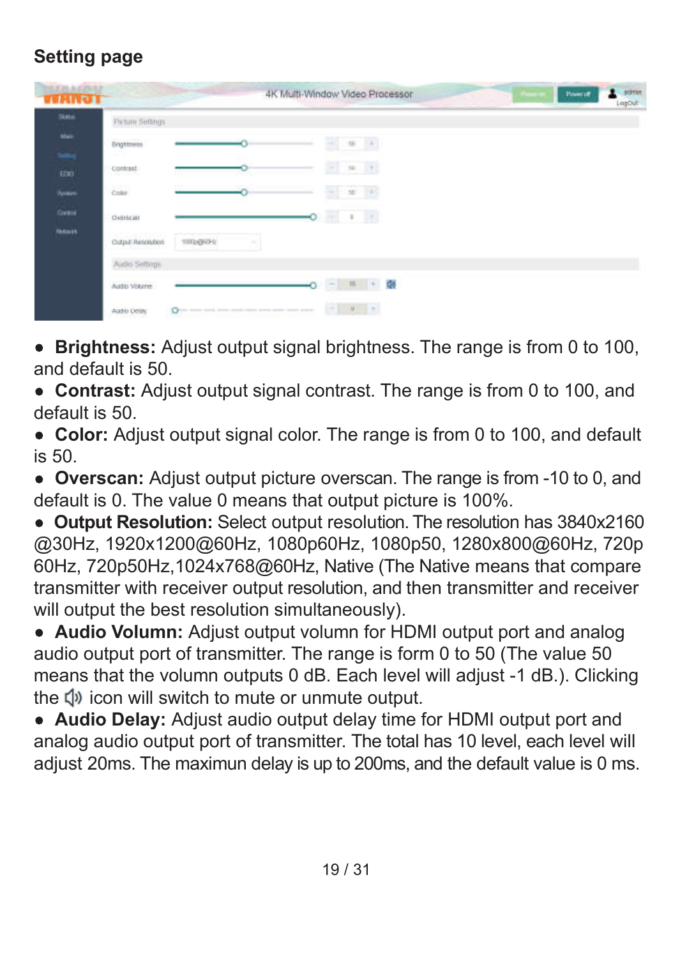### Setting page

| 1.03.0425.0<br><b>TERROT</b> |                           |                                       | 4K Multi-Window Video Processor |                                                                                                  |         |  | <b>Poweral</b> | adman<br>1<br>LagOut |
|------------------------------|---------------------------|---------------------------------------|---------------------------------|--------------------------------------------------------------------------------------------------|---------|--|----------------|----------------------|
| Suns                         | Picture Settings          |                                       |                                 |                                                                                                  |         |  |                |                      |
| since.                       | <b>Grigttness</b><br>50 K | u                                     |                                 | ΘI<br>$-50$                                                                                      | $[1,1]$ |  |                |                      |
| - 66                         | Contrast:<br>70977        |                                       |                                 | s<br>$-90 - 192$                                                                                 |         |  |                |                      |
| Boarn.                       | cian.                     |                                       | u.                              | 誑<br>$20^{\circ}$                                                                                | 寓       |  |                |                      |
| Gress                        | Clvibricam                |                                       | o                               | m<br>$\pm$                                                                                       | m       |  |                |                      |
| <b>RANGALES</b>              | Output Resolution         | THOUGH?<br>$\sim$                     |                                 |                                                                                                  |         |  |                |                      |
|                              | Aidio Settings            |                                       |                                 |                                                                                                  |         |  |                |                      |
|                              | Audio Volume              |                                       |                                 | $-0 = 1$ + $\frac{1}{20}$                                                                        |         |  |                |                      |
|                              | Austo Detty<br>1606940    | Only and and you make you you and you |                                 | $\label{eq:3.1} \begin{array}{ccccccccc} \alpha & \alpha & \alpha & \alpha & \alpha \end{array}$ |         |  |                |                      |

• Brightness: Adjust output signal brightness. The range is from 0 to 100. and default is 50.

 Contrast: Adjust output signal contrast. The range is from 0 to 100, and default is 50.

 Color: Adjust output signal color. The range is from 0 to 100, and default is 50.

 Overscan: Adjust output picture overscan. The range is from -10 to 0, and default is 0. The value 0 means that output picture is 100%.

 Output Resolution: Select output resolution. The resolution has 3840x2160 @30Hz, 1920x1200@60Hz, 1080p60Hz, 1080p50, 1280x800@60Hz, 720p 60Hz, 720p50Hz,1024x768@60Hz, Native (The Native means that compare transmitter with receiver output resolution, and then transmitter and receiver will output the best resolution simultaneously).

 Audio Volumn: Adjust output volumn for HDMI output port and analog audio output port of transmitter. The range is form 0 to 50 (The value 50 means that the volumn outputs 0 dB. Each level will adjust -1 dB.). Clicking the  $\Box$ ) icon will switch to mute or unmute output.

 Audio Delay: Adjust audio output delay time for HDMI output port and analog audio output port of transmitter. The total has 10 level, each level will adjust 20ms. The maximun delay is up to 200ms, and the default value is 0 ms.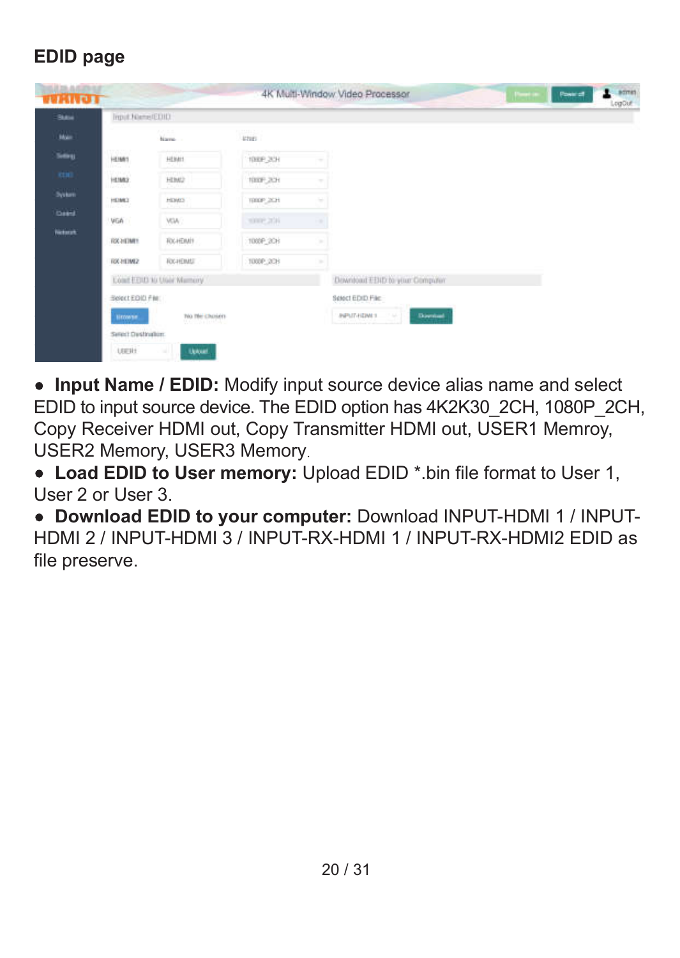### EDID page

| <b>SIMAGES</b><br><b>TURNOT</b> |                        |                           |                 |        | 4K Multi-Window Video Processor          | Power of<br><b>Planet</b> | actment<br>LogOut |
|---------------------------------|------------------------|---------------------------|-----------------|--------|------------------------------------------|---------------------------|-------------------|
| Skiller                         | Imput Name(EDID)       |                           |                 |        |                                          |                           |                   |
| <b>Mar</b>                      |                        | Name                      | <b>Activity</b> |        |                                          |                           |                   |
| Sellings                        | mach<br>10361          | HEMIT                     | TOOP 2CH        |        |                                          |                           |                   |
| m.                              | 103802<br>,,,,,,       | HDAD                      | 100F.206        |        |                                          |                           |                   |
| <b>System</b>                   | HEIME)<br>ans          | HOMO                      | TODAY 2CH       | ×      |                                          |                           |                   |
| <b>Dated</b>                    | VGA                    | VGW.                      | 1002204         | ۰      |                                          |                           |                   |
| Network.                        | <b><i>RX HOMES</i></b> | <b>FOC-HERAIN</b>         | T000P_2CH       | $\sim$ |                                          |                           |                   |
|                                 | <b>RX HDM2</b>         | <b>FOC-HEIMEE</b>         | T000P.2CH       | $\sim$ |                                          |                           |                   |
|                                 |                        | Load EERLY to User Mamory |                 |        | Download EDID to your Computer           |                           |                   |
|                                 | Select EDIO File:      |                           |                 |        | Select EDID File:                        |                           |                   |
|                                 | <b>HEMPH</b>           | Tea Net Chosen            |                 |        | <b>INFORMATION</b><br>Download<br>$\sim$ |                           |                   |
|                                 | Select Destination     |                           |                 |        |                                          |                           |                   |
|                                 | <b>UEER</b>            | <b>Uptual</b><br>٠        |                 |        |                                          |                           |                   |

• Input Name / EDID: Modify input source device alias name and select EDID to input source device. The EDID option has 4K2K30\_2CH, 1080P\_2CH, Copy Receiver HDMI out, Copy Transmitter HDMI out, USER1 Memroy, USER2 Memory, USER3 Memory

 Load EDID to User memory: Upload EDID \*.bin file format to User 1, User 2 or User 3.

 Download EDID to your computer: Download INPUT-HDMI 1 / INPUT-HDMI 2 / INPUT-HDMI 3 / INPUT-RX-HDMI 1 / INPUT-RX-HDMI2 EDID as file preserve.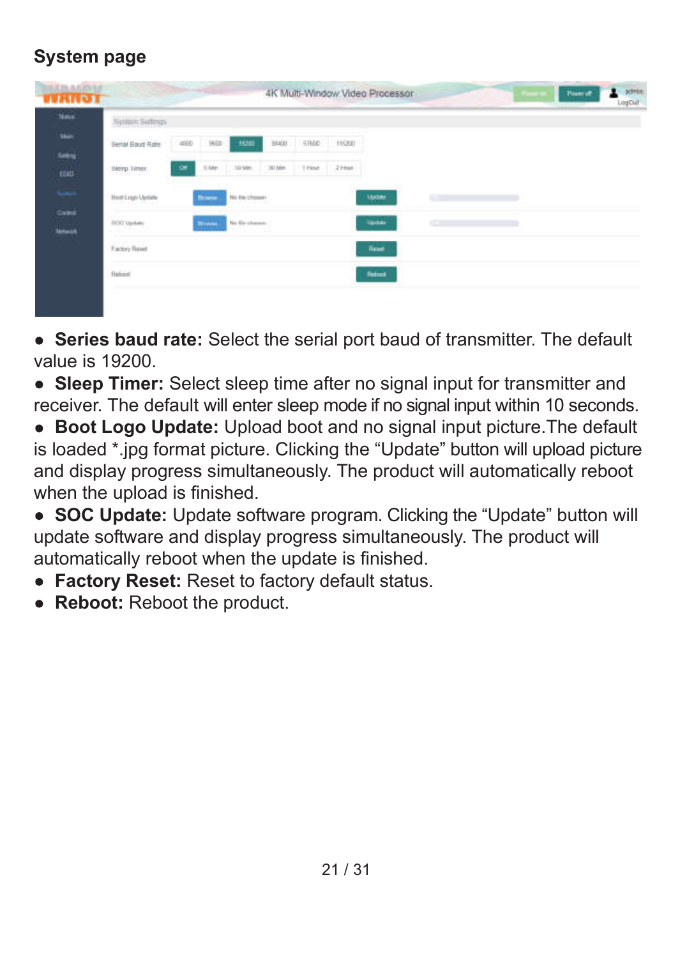### System page

| <b>BATBAGERBS</b><br><b>TERROT</b> |                                |        |               |                     |       |        |        | 4K Multi-Window Video Processor |        |  | Payersh | scirias<br>۰<br>LogCiut |
|------------------------------------|--------------------------------|--------|---------------|---------------------|-------|--------|--------|---------------------------------|--------|--|---------|-------------------------|
| <b>New</b>                         | Fightion Settings              |        |               |                     |       |        |        |                                 |        |  |         |                         |
| <b>Hair</b>                        | <b>Serial Baud Rate</b>        | $= 60$ | 1600          | 15203               | 39400 | 57600  | 115200 |                                 |        |  |         |                         |
| <b>Setting</b><br>ELKU             | <b>Bleep Timer</b><br>39500.00 | œ      | ti Me.        | 10 Mm.              | 30 Mm | 1 Hear | 2 mar  |                                 |        |  |         |                         |
| <b>Green</b>                       | <b>Hoof Logis Update</b>       |        | <b>Browns</b> | The Eliz Lifecomery |       |        |        | проме                           |        |  |         |                         |
| Comic<br><b>Millwork</b>           | <b>BOS Update</b>              |        | Drawes,       | No Sie stanner      |       |        |        | <b>Cardona</b>                  | $\sim$ |  |         |                         |
|                                    | Earter/Baseb                   |        |               |                     |       |        |        | <b>Hane</b>                     |        |  |         |                         |
|                                    | Ration                         |        |               |                     |       |        |        | <b>Factured</b>                 |        |  |         |                         |
|                                    |                                |        |               |                     |       |        |        |                                 |        |  |         |                         |

 Series baud rate: Select the serial port baud of transmitter. The default value is 19200.

 Sleep Timer: Select sleep time after no signal input for transmitter and receiver. The default will enter sleep mode if no signal input within 10 seconds.

 Boot Logo Update: Upload boot and no signal input picture.The default is loaded \*.jpg format picture. Clicking the "Update" button will upload picture and display progress simultaneously. The product will automatically reboot when the upload is finished.

• SOC Update: Update software program. Clicking the "Update" button will update software and display progress simultaneously. The product will automatically reboot when the update is finished.

- Factory Reset: Reset to factory default status.
- Reboot: Reboot the product.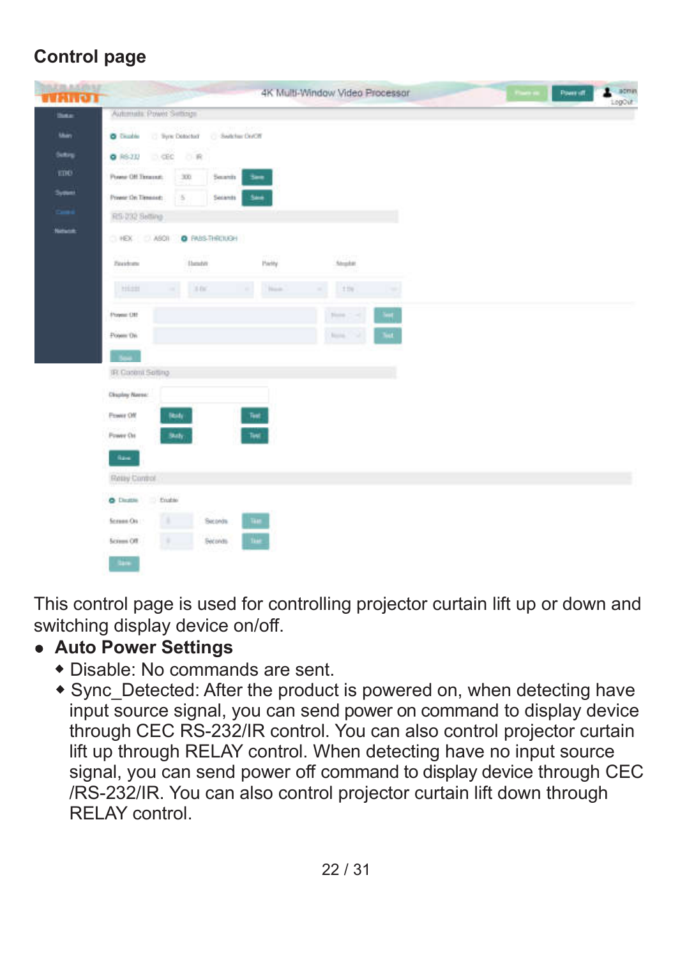### Control page

| <b>UCHLANDING</b><br>тилот |                                                    |                   | 4K Multi-Window Video Processor  | <b>There</b> | $2 - scmn$<br>Paerelf.<br>LogOut |  |  |  |
|----------------------------|----------------------------------------------------|-------------------|----------------------------------|--------------|----------------------------------|--|--|--|
| <b>Doka</b>                | Automata Power Settings                            |                   |                                  |              |                                  |  |  |  |
| <b>Main</b>                | To Sun Detroited - Subductions<br><b>O</b> Finaldo |                   |                                  |              |                                  |  |  |  |
| Setting                    | $a$ ks: $m$<br>$-$<br>日常                           |                   |                                  |              |                                  |  |  |  |
| <b>EDD</b>                 | Power Off Timount:<br>$-300$<br>Search             | <b>See</b>        |                                  |              |                                  |  |  |  |
| Symmetr                    | $\leq$<br>Preser On Timeset:<br>Secarity           | <b>See</b>        |                                  |              |                                  |  |  |  |
| m.                         | RS-032 Setting                                     |                   |                                  |              |                                  |  |  |  |
| Network                    | $HEX$ $MST$<br>O RAIS-THROUGH                      |                   |                                  |              |                                  |  |  |  |
|                            | <b>Foxidans</b><br><b>Ilunda</b>                   | Padty.            | repart<br><b>Shudat</b>          |              |                                  |  |  |  |
|                            | ur.<br>HEH<br>30c                                  | <b>Texas</b><br>٠ | <b>EDI</b><br>٠                  |              |                                  |  |  |  |
|                            | Power Off                                          |                   | North<br>$\sim$                  |              |                                  |  |  |  |
|                            | Power On                                           |                   | <b>Sept</b><br><b>Scott</b><br>v |              |                                  |  |  |  |
|                            | $\sim$                                             |                   |                                  |              |                                  |  |  |  |
|                            | <b>IR Coolmi Seiting</b>                           |                   |                                  |              |                                  |  |  |  |
|                            | Chapley Nervo:                                     |                   |                                  |              |                                  |  |  |  |
|                            | (katy)<br><b>Power Off</b>                         | Test:             |                                  |              |                                  |  |  |  |
|                            | <b>Power Out</b><br><b>Buty</b>                    | Test              |                                  |              |                                  |  |  |  |
|                            | (Basic)                                            |                   |                                  |              |                                  |  |  |  |
|                            | Retty Control                                      |                   |                                  |              |                                  |  |  |  |
|                            | O Dozby<br>Posts.                                  |                   |                                  |              |                                  |  |  |  |
|                            | Scrann On:<br>٠<br>Seconda                         | That              |                                  |              |                                  |  |  |  |
|                            | u<br>Screen Off<br>Beconds                         | <b>Task</b>       |                                  |              |                                  |  |  |  |
|                            | tars.                                              |                   |                                  |              |                                  |  |  |  |

This control page is used for controlling projector curtain lift up or down and switching display device on/off.

#### Auto Power Settings

- Disable: No commands are sent.
- Sync\_Detected: After the product is powered on, when detecting have input source signal, you can send power on command to display device through CEC RS-232/IR control. You can also control projector curtain lift up through RELAY control. When detecting have no input source signal, you can send power off command to display device through CEC /RS-232/IR. You can also control projector curtain lift down through RELAY control.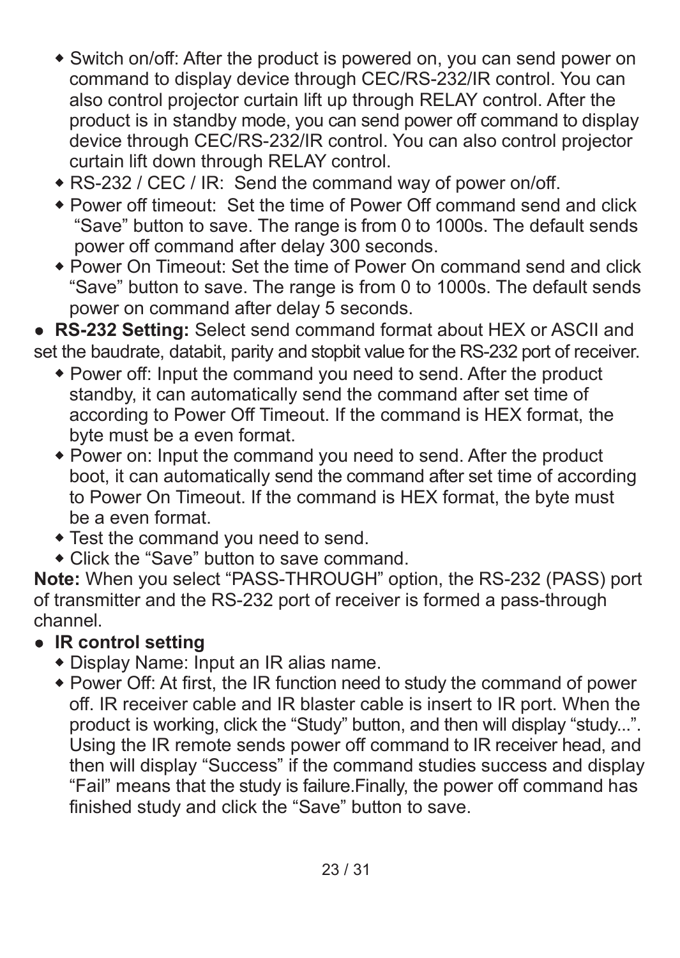- Switch on/off: After the product is powered on, you can send power on command to display device through CEC/RS-232/IR control. You can also control projector curtain lift up through RELAY control. After the product is in standby mode, you can send power off command to display device through CEC/RS-232/IR control. You can also control projector curtain lift down through RELAY control.
- RS-232 / CEC / IR: Send the command way of power on/off.
- Power off timeout: Set the time of Power Off command send and click "Save" button to save. The range is from 0 to 1000s. The default sends power off command after delay 300 seconds.
- Power On Timeout: Set the time of Power On command send and click "Save" button to save. The range is from 0 to 1000s. The default sends power on command after delay 5 seconds.

 RS-232 Setting: Select send command format about HEX or ASCII and set the baudrate, databit, parity and stopbit value for the RS-232 port of receiver.

- Power off: Input the command you need to send. After the product standby, it can automatically send the command after set time of according to Power Off Timeout. If the command is HEX format, the byte must be a even format.
- Power on: Input the command you need to send. After the product boot, it can automatically send the command after set time of according to Power On Timeout. If the command is HEX format, the byte must be a even format.
- Test the command you need to send.
- Click the "Save" button to save command.

Note: When you select "PASS-THROUGH" option, the RS-232 (PASS) port of transmitter and the RS-232 port of receiver is formed a pass-through channel.

- IR control setting
	- Display Name: Input an IR alias name.
	- Power Off: At first, the IR function need to study the command of power off. IR receiver cable and IR blaster cable is insert to IR port. When the product is working, click the "Study" button, and then will display "study...". Using the IR remote sends power off command to IR receiver head, and then will display "Success" if the command studies success and display "Fail" means that the study is failure.Finally, the power off command has finished study and click the "Save" button to save.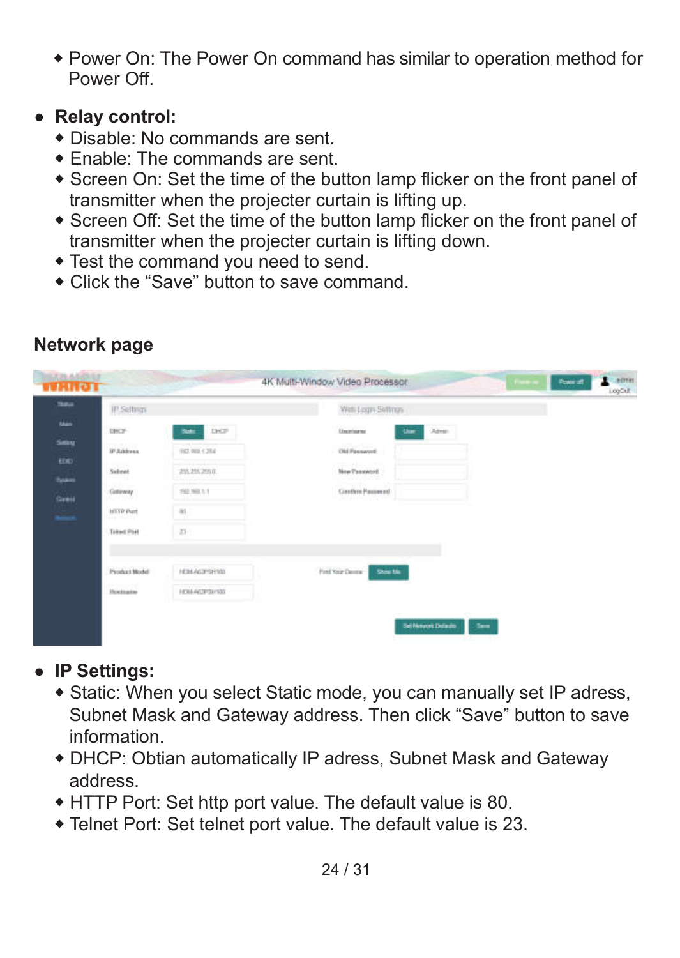- Power On: The Power On command has similar to operation method for Power Off.
- Relay control:
	- Disable: No commands are sent.
	- Enable: The commands are sent.
	- Screen On: Set the time of the button lamp flicker on the front panel of transmitter when the projecter curtain is lifting up.
	- Screen Off: Set the time of the button lamp flicker on the front panel of transmitter when the projecter curtain is lifting down.
	- Test the command you need to send.
	- Click the "Save" button to save command.

| <b>Skitch</b>                | <b>IP.Sellings</b>                  |                                                                                                                       | With Legin Settman                         |
|------------------------------|-------------------------------------|-----------------------------------------------------------------------------------------------------------------------|--------------------------------------------|
| <b>New</b>                   | <b>UHCF</b>                         | DH2P<br><b>Baker</b>                                                                                                  | <b>University</b><br>Almin.<br><b>Usin</b> |
| <b>Simu</b>                  | <b>CONTRACTOR</b><br>iff Address    | $933$ mm $4334$                                                                                                       | <b>Chi Fannanoi</b>                        |
| <b>EDID</b><br><b>System</b> | 952924<br>Salmet<br>53392           | 2012012018                                                                                                            | ramaen.<br>New Password.                   |
| Gress                        | anco<br>Gatioway<br>anna            | 192.982.1.1                                                                                                           | <b>Gardine Password</b><br>----------      |
| ₩                            | <b>HTTP Part</b><br>mees            | $\begin{array}{c} \begin{array}{c} \begin{array}{c} \begin{array}{c} \end{array} \end{array} \end{array} \end{array}$ |                                            |
|                              | Tébast Post                         | 21                                                                                                                    |                                            |
|                              | <b>Product Model</b>                | FICILE AGENSHIVEL                                                                                                     | Ford Your Decene<br>Show the               |
|                              | <b>USS STATE</b><br><b>Hustaata</b> | <b>REALACTERING</b>                                                                                                   |                                            |
|                              |                                     |                                                                                                                       | and the company and it                     |

#### Network page

- IP Settings:
	- Static: When you select Static mode, you can manually set IP adress, Subnet Mask and Gateway address. Then click "Save" button to save information.
	- DHCP: Obtian automatically IP adress, Subnet Mask and Gateway address.
	- HTTP Port: Set http port value. The default value is 80.
	- Telnet Port: Set telnet port value. The default value is 23.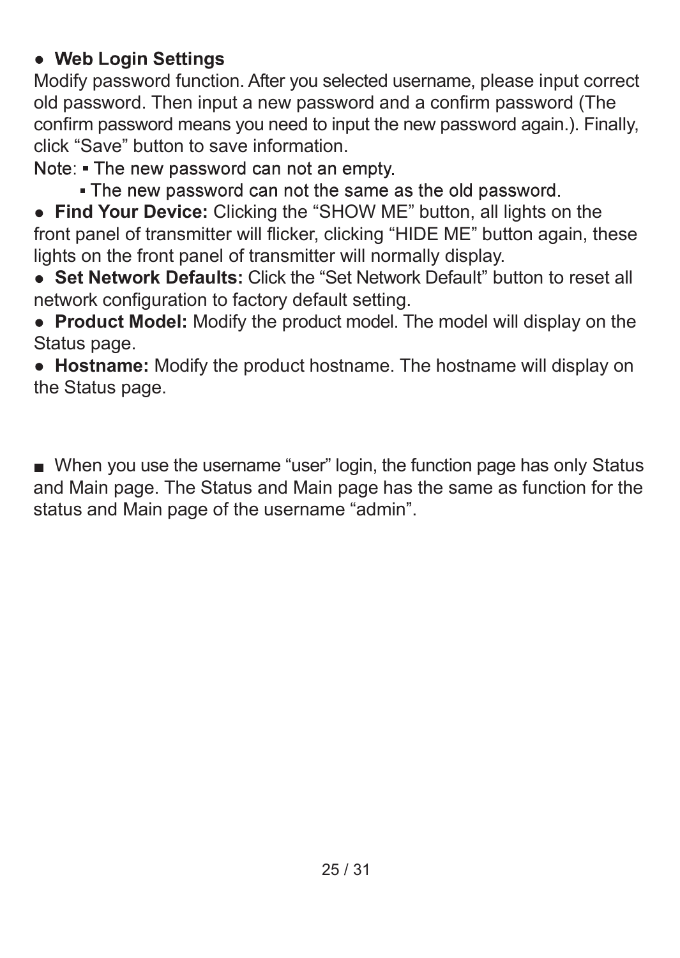#### • Web Login Settings

Modify password function. After you selected username, please input correct old password. Then input a new password and a confirm password (The confirm password means you need to input the new password again.). Finally, click "Save" button to save information.<br>Note: . The new password can not an empty.

. The new password can not the same as the old password.

 Find Your Device: Clicking the "SHOW ME" button, all lights on the front panel of transmitter will flicker, clicking "HIDE ME" button again, these lights on the front panel of transmitter will normally display.

 Set Network Defaults: Click the "Set Network Default" button to reset all network configuration to factory default setting.

• Product Model: Modify the product model. The model will display on the Status page.

• Hostname: Modify the product hostname. The hostname will display on the Status page.

■ When you use the username "user" login, the function page has only Status and Main page. The Status and Main page has the same as function for the status and Main page of the username "admin".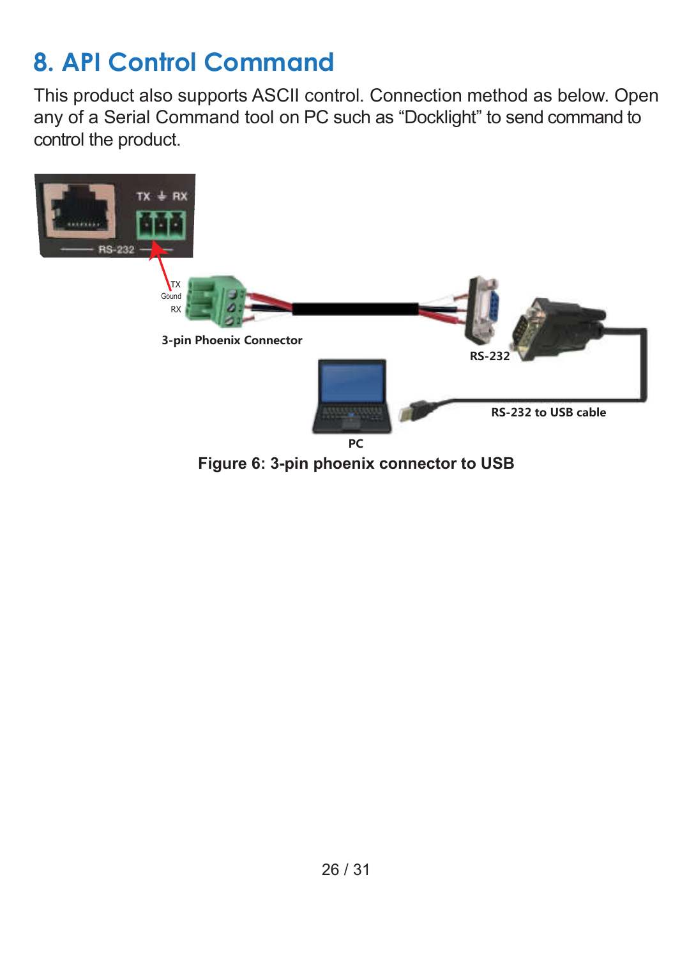# 8. API Control Command

This product also supports ASCII control. Connection method as below. Open any of a Serial Command tool on PC such as "Docklight" to send command to control the product.



Figure 6: 3-pin phoenix connector to USB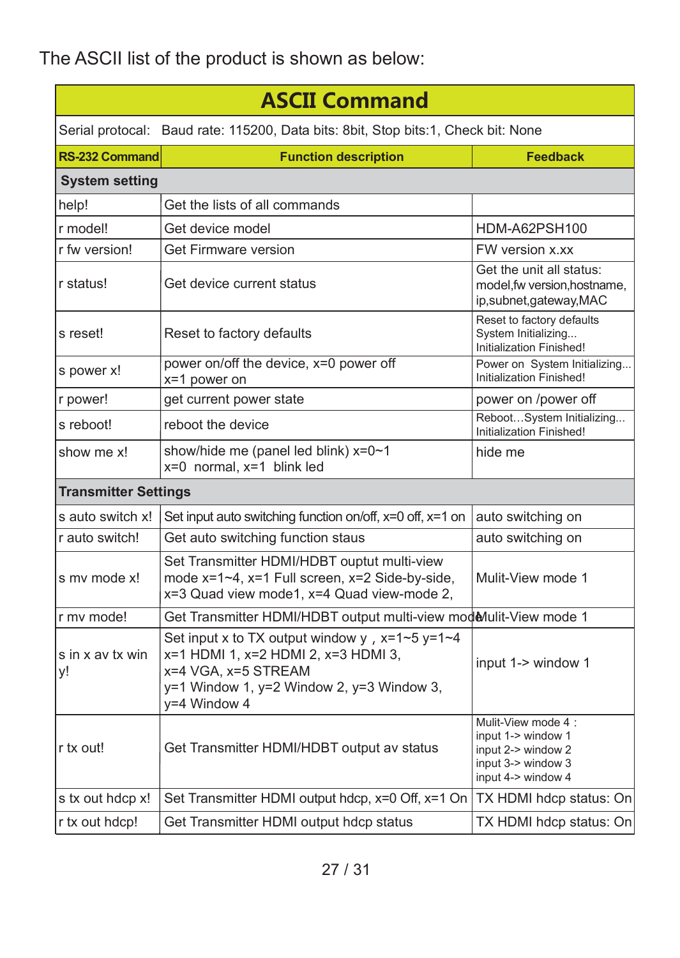The ASCII list of the product is shown as below:

| <b>ASCII Command</b>        |                                                                                                                                                                                   |                                                                                                             |  |  |  |  |  |  |
|-----------------------------|-----------------------------------------------------------------------------------------------------------------------------------------------------------------------------------|-------------------------------------------------------------------------------------------------------------|--|--|--|--|--|--|
|                             | Serial protocal: Baud rate: 115200, Data bits: 8bit, Stop bits:1, Check bit: None                                                                                                 |                                                                                                             |  |  |  |  |  |  |
| <b>RS-232 Command</b>       | <b>Function description</b>                                                                                                                                                       | <b>Feedback</b>                                                                                             |  |  |  |  |  |  |
| <b>System setting</b>       |                                                                                                                                                                                   |                                                                                                             |  |  |  |  |  |  |
| help!                       | Get the lists of all commands                                                                                                                                                     |                                                                                                             |  |  |  |  |  |  |
| r model!                    | Get device model                                                                                                                                                                  | HDM-A62PSH100                                                                                               |  |  |  |  |  |  |
| r fw version!               | Get Firmware version                                                                                                                                                              | FW version x.xx                                                                                             |  |  |  |  |  |  |
| r status!                   | Get device current status                                                                                                                                                         | Get the unit all status:<br>model, fw version, hostname,<br>ip,subnet,gateway,MAC                           |  |  |  |  |  |  |
| s reset!                    | Reset to factory defaults                                                                                                                                                         | Reset to factory defaults<br>System Initializing<br>Initialization Finished!                                |  |  |  |  |  |  |
| s power x!                  | power on/off the device, x=0 power off<br>x=1 power on                                                                                                                            | Power on System Initializing<br>Initialization Finished!                                                    |  |  |  |  |  |  |
| r power!                    | get current power state                                                                                                                                                           | power on /power off                                                                                         |  |  |  |  |  |  |
| s reboot!                   | reboot the device                                                                                                                                                                 | RebootSystem Initializing<br>Initialization Finished!                                                       |  |  |  |  |  |  |
| show me x!                  | show/hide me (panel led blink) x=0~1<br>x=0 normal, x=1 blink led                                                                                                                 | hide me                                                                                                     |  |  |  |  |  |  |
| <b>Transmitter Settings</b> |                                                                                                                                                                                   |                                                                                                             |  |  |  |  |  |  |
| s auto switch x!            | Set input auto switching function on/off, x=0 off, x=1 on                                                                                                                         | auto switching on                                                                                           |  |  |  |  |  |  |
| r auto switch!              | Get auto switching function staus                                                                                                                                                 | auto switching on                                                                                           |  |  |  |  |  |  |
| s my mode x!                | Set Transmitter HDMI/HDBT ouptut multi-view<br>mode x=1~4, x=1 Full screen, x=2 Side-by-side,<br>x=3 Quad view mode1, x=4 Quad view-mode 2.                                       | Mulit-View mode 1                                                                                           |  |  |  |  |  |  |
| r my mode!                  | Get Transmitter HDMI/HDBT output multi-view mode/lulit-View mode 1                                                                                                                |                                                                                                             |  |  |  |  |  |  |
| s in x av tx win<br>v!      | Set input x to TX output window y, $x=1-5$ y=1-4<br>x=1 HDMI 1, x=2 HDMI 2, x=3 HDMI 3,<br>x=4 VGA, x=5 STREAM<br>$y=1$ Window 1, $y=2$ Window 2, $y=3$ Window 3,<br>y=4 Window 4 | input 1-> window 1                                                                                          |  |  |  |  |  |  |
| r tx out!                   | Get Transmitter HDMI/HDBT output av status                                                                                                                                        | Mulit-View mode 4 :<br>input 1-> window 1<br>input 2-> window 2<br>input 3-> window 3<br>input 4-> window 4 |  |  |  |  |  |  |
| s tx out hdcp x!            | Set Transmitter HDMI output hdcp, x=0 Off, x=1 On                                                                                                                                 | TX HDMI hdcp status: On                                                                                     |  |  |  |  |  |  |
| r tx out hdcp!              | Get Transmitter HDMI output hdcp status                                                                                                                                           | TX HDMI hdcp status: On                                                                                     |  |  |  |  |  |  |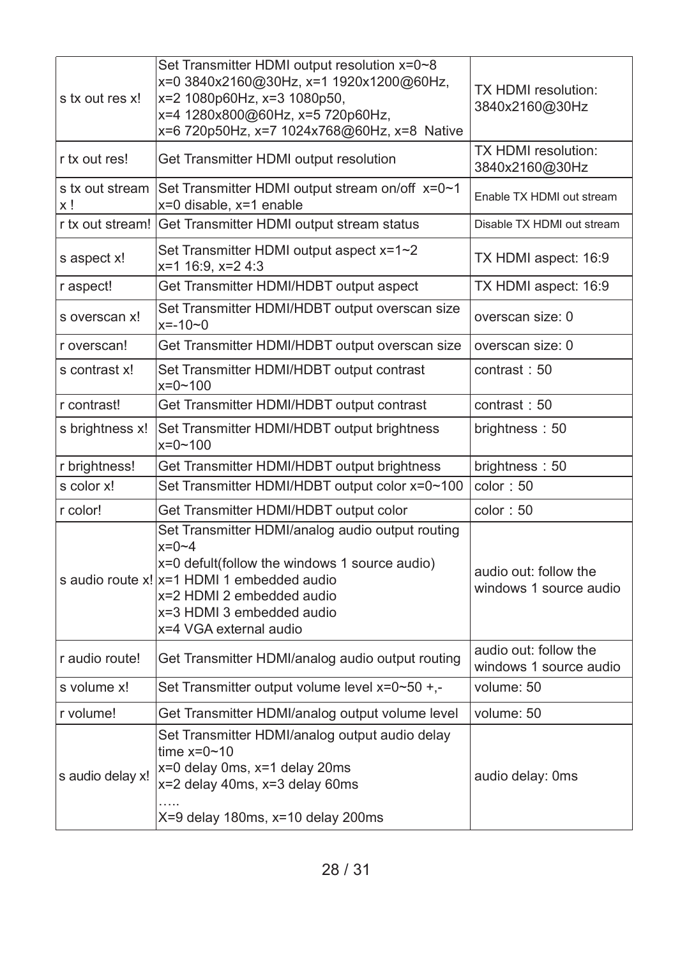| s tx out res x!       | Set Transmitter HDMI output resolution x=0~8<br>x=0 3840x2160@30Hz.x=1 1920x1200@60Hz.<br>x=2 1080p60Hz, x=3 1080p50,<br>x=4 1280x800@60Hz, x=5 720p60Hz,<br>x=6 720p50Hz, x=7 1024x768@60Hz, x=8 Native                                       | TX HDMI resolution:<br>3840x2160@30Hz           |
|-----------------------|------------------------------------------------------------------------------------------------------------------------------------------------------------------------------------------------------------------------------------------------|-------------------------------------------------|
| r tx out res!         | Get Transmitter HDMI output resolution                                                                                                                                                                                                         | TX HDMI resolution:<br>3840x2160@30Hz           |
| s tx out stream<br>x! | Set Transmitter HDMI output stream on/off x=0~1<br>x=0 disable, x=1 enable                                                                                                                                                                     | Enable TX HDMI out stream                       |
|                       | r tx out stream! Get Transmitter HDMI output stream status                                                                                                                                                                                     | Disable TX HDMI out stream                      |
| s aspect x!           | Set Transmitter HDMI output aspect x=1~2<br>x=1 16:9, x=2 4:3                                                                                                                                                                                  | TX HDMI aspect: 16:9                            |
| r aspect!             | Get Transmitter HDMI/HDBT output aspect                                                                                                                                                                                                        | TX HDMI aspect: 16:9                            |
| s overscan x!         | Set Transmitter HDMI/HDBT output overscan size<br>$x = -10 - 0$                                                                                                                                                                                | overscan size: 0                                |
| r overscan!           | Get Transmitter HDMI/HDBT output overscan size                                                                                                                                                                                                 | overscan size: 0                                |
| s contrast x!         | Set Transmitter HDMI/HDBT output contrast<br>$x=0$ ~100                                                                                                                                                                                        | contrast: 50                                    |
| r contrast!           | Get Transmitter HDMI/HDBT output contrast                                                                                                                                                                                                      | contrast: 50                                    |
| s brightness x!       | Set Transmitter HDMI/HDBT output brightness<br>$x=0$ ~100                                                                                                                                                                                      | brightness: 50                                  |
| r brightness!         | Get Transmitter HDMI/HDBT output brightness                                                                                                                                                                                                    | brightness: 50                                  |
| s color x!            | Set Transmitter HDMI/HDBT output color x=0~100                                                                                                                                                                                                 | color:650                                       |
| r color!              | Get Transmitter HDMI/HDBT output color                                                                                                                                                                                                         | color:650                                       |
|                       | Set Transmitter HDMI/analog audio output routing<br>$x=0-4$<br>x=0 defult(follow the windows 1 source audio)<br>s audio route x! x=1 HDMI 1 embedded audio<br>x=2 HDMI 2 embedded audio<br>x=3 HDMI 3 embedded audio<br>x=4 VGA external audio | audio out: follow the<br>windows 1 source audio |
| r audio route!        | Get Transmitter HDMI/analog audio output routing                                                                                                                                                                                               | audio out: follow the<br>windows 1 source audio |
| s volume x!           | Set Transmitter output volume level x=0~50 +,-                                                                                                                                                                                                 | volume: 50                                      |
| r volume!             | Get Transmitter HDMI/analog output volume level                                                                                                                                                                                                | volume: 50                                      |
| s audio delay x!      | Set Transmitter HDMI/analog output audio delay<br>time $x=0$ ~10<br>x=0 delay 0ms, x=1 delay 20ms<br>x=2 delay 40ms, x=3 delay 60ms<br>.<br>X=9 delay 180ms, x=10 delay 200ms                                                                  | audio delay: 0ms                                |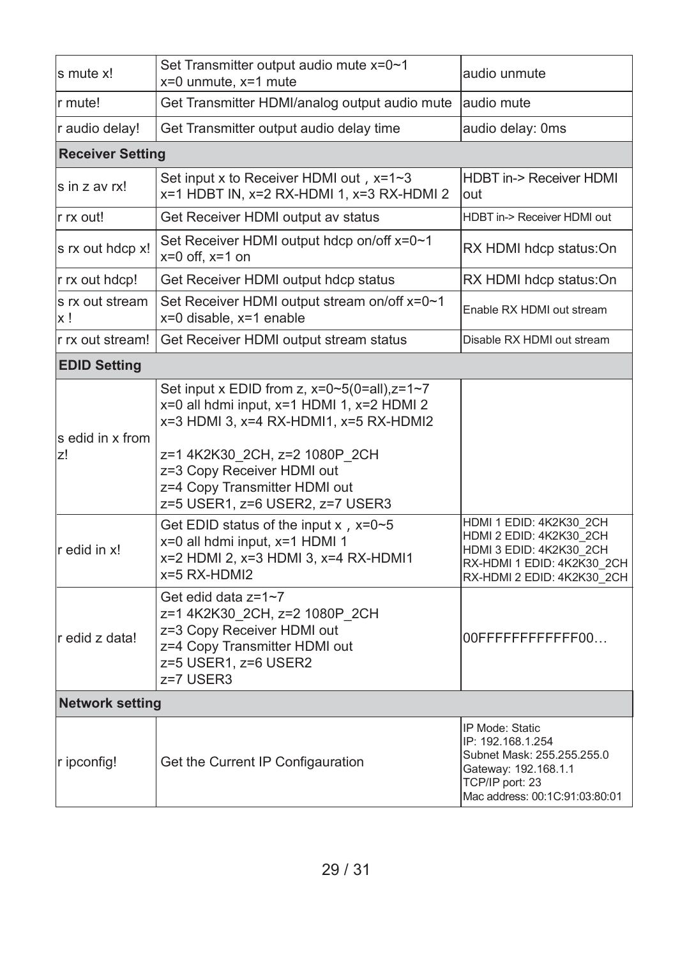| s mute x!               | Set Transmitter output audio mute x=0~1<br>x=0 unmute, x=1 mute                                                                                                                                                                                                           | audio unmute                                                                                                                                    |  |
|-------------------------|---------------------------------------------------------------------------------------------------------------------------------------------------------------------------------------------------------------------------------------------------------------------------|-------------------------------------------------------------------------------------------------------------------------------------------------|--|
| r mute!                 | Get Transmitter HDMI/analog output audio mute                                                                                                                                                                                                                             | audio mute                                                                                                                                      |  |
| r audio delay!          | Get Transmitter output audio delay time                                                                                                                                                                                                                                   | audio delay: 0ms                                                                                                                                |  |
| <b>Receiver Setting</b> |                                                                                                                                                                                                                                                                           |                                                                                                                                                 |  |
| s in z av rx!           | Set input x to Receiver HDMI out, x=1~3<br>x=1 HDBT IN, x=2 RX-HDMI 1, x=3 RX-HDMI 2                                                                                                                                                                                      | <b>HDBT in-&gt; Receiver HDMI</b><br>tuo                                                                                                        |  |
| r rx out!               | Get Receiver HDMI output av status                                                                                                                                                                                                                                        | HDBT in-> Receiver HDMI out                                                                                                                     |  |
| s rx out hdcp x!        | Set Receiver HDMI output hdcp on/off x=0~1<br>$x=0$ off, $x=1$ on                                                                                                                                                                                                         | RX HDMI hdcp status:On                                                                                                                          |  |
| r rx out hdcp!          | Get Receiver HDMI output hdcp status                                                                                                                                                                                                                                      | RX HDMI hdcp status:On                                                                                                                          |  |
| s rx out stream<br>x!   | Set Receiver HDMI output stream on/off x=0~1<br>x=0 disable, x=1 enable                                                                                                                                                                                                   | Enable RX HDMI out stream                                                                                                                       |  |
| r rx out stream!        | Get Receiver HDMI output stream status                                                                                                                                                                                                                                    | Disable RX HDMI out stream                                                                                                                      |  |
| <b>EDID Setting</b>     |                                                                                                                                                                                                                                                                           |                                                                                                                                                 |  |
| s edid in x from<br>lz! | Set input x EDID from z, $x=0-5(0=aII), z=1-7$<br>x=0 all hdmi input, x=1 HDMI 1, x=2 HDMI 2<br>x=3 HDMI 3. x=4 RX-HDMI1. x=5 RX-HDMI2<br>z=1 4K2K30 2CH, z=2 1080P 2CH<br>z=3 Copy Receiver HDMI out<br>z=4 Copy Transmitter HDMI out<br>z=5 USER1, z=6 USER2, z=7 USER3 |                                                                                                                                                 |  |
| r edid in x!            | Get EDID status of the input $x$ , $x=0$ ~5<br>x=0 all hdmi input, x=1 HDMI 1<br>x=2 HDMI 2, x=3 HDMI 3, x=4 RX-HDMI1<br>$x=5$ RX-HDMI2                                                                                                                                   | HDMI 1 EDID: 4K2K30 2CH<br>HDMI 2 EDID: 4K2K30 2CH<br>HDMI 3 EDID: 4K2K30 2CH<br>RX-HDMI 1 EDID: 4K2K30 2CH<br>RX-HDMI 2 EDID: 4K2K30 2CH       |  |
| Ir edid z data!         | Get edid data z=1~7<br>z=1 4K2K30 2CH, z=2 1080P 2CH<br>z=3 Copy Receiver HDMI out<br>z=4 Copy Transmitter HDMI out<br>z=5 USER1, z=6 USER2<br>z=7 USER3                                                                                                                  | 00FFFFFFFFFFFF00                                                                                                                                |  |
| <b>Network setting</b>  |                                                                                                                                                                                                                                                                           |                                                                                                                                                 |  |
| r ipconfig!             | Get the Current IP Configauration                                                                                                                                                                                                                                         | IP Mode: Static<br>IP: 192.168.1.254<br>Subnet Mask: 255.255.255.0<br>Gateway: 192.168.1.1<br>TCP/IP port: 23<br>Mac address: 00:1C:91:03:80:01 |  |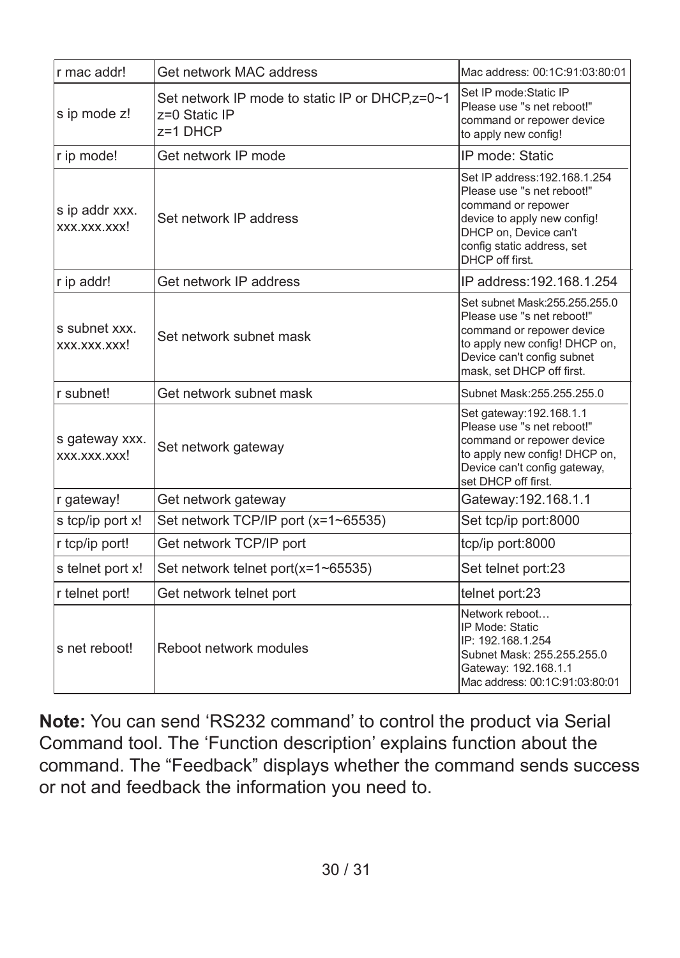| r mac addr!                    | Get network MAC address                                                         | Mac address: 00:1C:91:03:80:01                                                                                                                                                             |
|--------------------------------|---------------------------------------------------------------------------------|--------------------------------------------------------------------------------------------------------------------------------------------------------------------------------------------|
| s ip mode z!                   | Set network IP mode to static IP or DHCP.z=0~1<br>$z=0$ Static IP<br>$z=1$ DHCP | Set IP mode: Static IP<br>Please use "s net reboot!"<br>command or repower device<br>to apply new config!                                                                                  |
| r ip mode!                     | Get network IP mode                                                             | IP mode: Static                                                                                                                                                                            |
| s ip addr xxx.<br>xxx.xxx.xxx! | Set network IP address                                                          | Set IP address: 192.168.1.254<br>Please use "s net reboot!"<br>command or repower<br>device to apply new config!<br>DHCP on. Device can't<br>config static address, set<br>DHCP off first. |
| r ip addr!                     | Get network IP address                                                          | IP address: 192.168.1.254                                                                                                                                                                  |
| s subnet xxx.<br>xxx.xxx.xxx!  | Set network subnet mask                                                         | Set subnet Mask: 255.255.255.0<br>Please use "s net reboot!"<br>command or repower device<br>to apply new config! DHCP on,<br>Device can't config subnet<br>mask, set DHCP off first.      |
| r subnet!                      | Get network subnet mask                                                         | Subnet Mask: 255.255.255.0                                                                                                                                                                 |
| s gateway xxx.<br>xxx.xxx.xxx! | Set network gateway                                                             | Set gateway: 192.168.1.1<br>Please use "s net reboot!"<br>command or repower device<br>to apply new config! DHCP on,<br>Device can't config gateway,<br>set DHCP off first.                |
| r gateway!                     | Get network gateway                                                             | Gateway: 192.168.1.1                                                                                                                                                                       |
| s tcp/ip port x!               | Set network TCP/IP port (x=1~65535)                                             | Set tcp/ip port:8000                                                                                                                                                                       |
| r tcp/ip port!                 | Get network TCP/IP port                                                         | tcp/ip port:8000                                                                                                                                                                           |
| s telnet port x!               | Set network telnet port(x=1~65535)                                              | Set telnet port:23                                                                                                                                                                         |
| r telnet port!                 | Get network telnet port                                                         | telnet port:23                                                                                                                                                                             |
| s net reboot!                  | Reboot network modules                                                          | Network reboot<br>IP Mode: Static<br>IP: 192.168.1.254<br>Subnet Mask: 255.255.255.0<br>Gateway: 192.168.1.1<br>Mac address: 00:1C:91:03:80:01                                             |

Note: You can send 'RS232 command' to control the product via Serial Command tool. The 'Function description' explains function about the command. The "Feedback" displays whether the command sends success or not and feedback the information you need to.